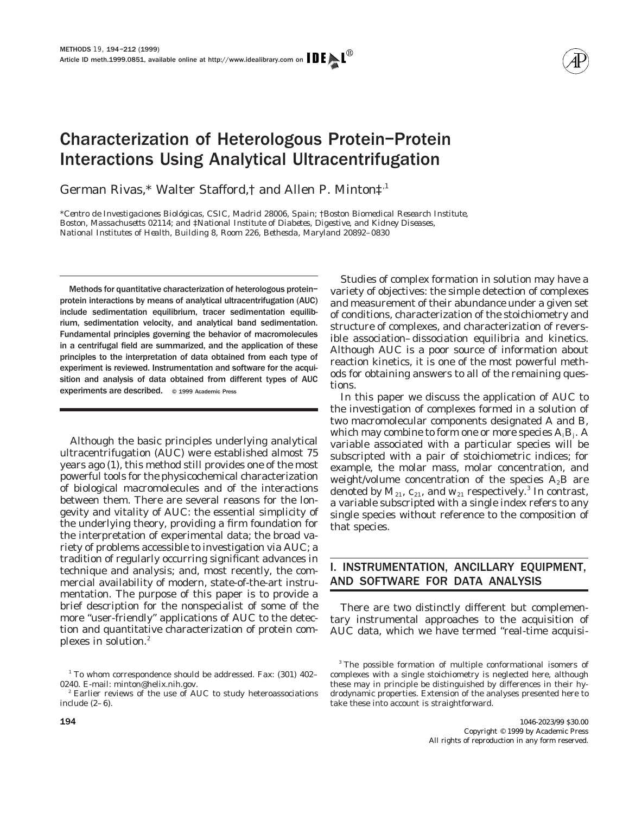# Characterization of Heterologous Protein–Protein Interactions Using Analytical Ultracentrifugation

German Rivas,\* Walter Stafford,† and Allen P. Minton‡,1

\**Centro de Investigaciones Biolo´gicas, CSIC, Madrid 28006, Spain;* †*Boston Biomedical Research Institute, Boston, Massachusetts 02114; and* ‡*National Institute of Diabetes, Digestive, and Kidney Diseases, National Institutes of Health, Building 8, Room 226, Bethesda, Maryland 20892–0830*

Methods for quantitative characterization of heterologous protein– protein interactions by means of analytical ultracentrifugation (AUC) include sedimentation equilibrium, tracer sedimentation equilibrium, sedimentation velocity, and analytical band sedimentation. Fundamental principles governing the behavior of macromolecules in a centrifugal field are summarized, and the application of these principles to the interpretation of data obtained from each type of experiment is reviewed. Instrumentation and software for the acquisition and analysis of data obtained from different types of AUC experiments are described. © 1999 Academic Press

Although the basic principles underlying analytical ultracentrifugation (AUC) were established almost 75 years ago (1), this method still provides one of the most powerful tools for the physicochemical characterization of biological macromolecules and of the interactions between them. There are several reasons for the longevity and vitality of AUC: the essential simplicity of the underlying theory, providing a firm foundation for the interpretation of experimental data; the broad variety of problems accessible to investigation via AUC; a tradition of regularly occurring significant advances in technique and analysis; and, most recently, the commercial availability of modern, state-of-the-art instrumentation. The purpose of this paper is to provide a brief description for the nonspecialist of some of the more "user-friendly" applications of AUC to the detection and quantitative characterization of protein complexes in solution.<sup>2</sup>

Studies of complex formation in solution may have a variety of objectives: the simple detection of complexes and measurement of their abundance under a given set of conditions, characterization of the stoichiometry and structure of complexes, and characterization of reversible association–dissociation equilibria and kinetics. Although AUC is a poor source of information about reaction kinetics, it is one of the most powerful methods for obtaining answers to all of the remaining questions.

In this paper we discuss the application of AUC to the investigation of complexes formed in a solution of two macromolecular components designated A and B, which may combine to form one or more species A*i*B*j*. A variable associated with a particular species will be subscripted with a pair of stoichiometric indices; for example, the molar mass, molar concentration, and weight/volume concentration of the species  $A_2B$  are denoted by  $M_{21}$ ,  $c_{21}$ , and  $W_{21}$  respectively.<sup>3</sup> In contrast, a variable subscripted with a single index refers to any single species without reference to the composition of that species.

# I. INSTRUMENTATION, ANCILLARY EQUIPMENT, AND SOFTWARE FOR DATA ANALYSIS

There are two distinctly different but complementary instrumental approaches to the acquisition of AUC data, which we have termed "real-time acquisi-

<sup>1</sup> To whom correspondence should be addressed. Fax: (301) 402– 0240. E-mail: minton@helix.nih.gov.

 $2$ <sup>2</sup> Earlier reviews of the use of AUC to study heteroassociations include (2–6).

<sup>&</sup>lt;sup>3</sup> The possible formation of multiple conformational isomers of complexes with a single stoichiometry is neglected here, although these may in principle be distinguished by differences in their hydrodynamic properties. Extension of the analyses presented here to take these into account is straightforward.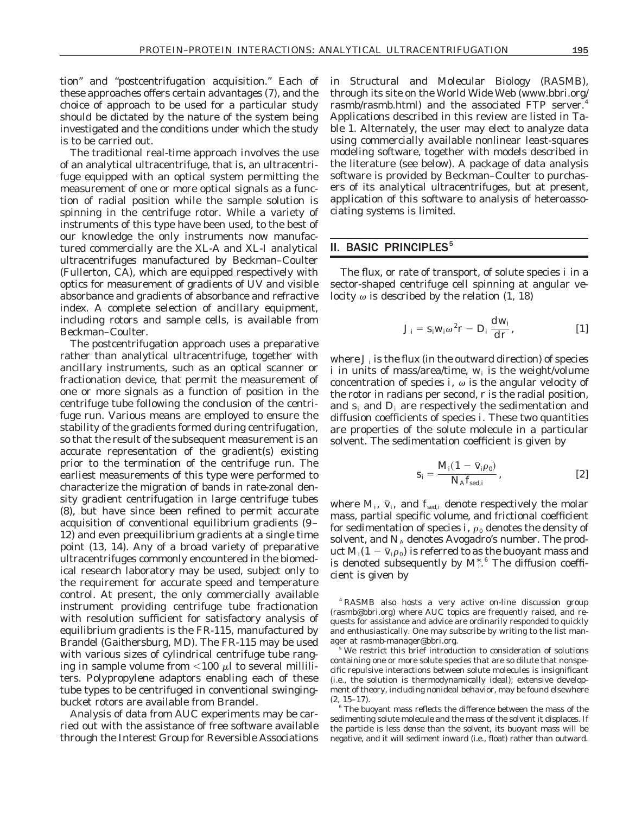tion" and "postcentrifugation acquisition." Each of these approaches offers certain advantages (7), and the choice of approach to be used for a particular study should be dictated by the nature of the system being investigated and the conditions under which the study is to be carried out.

The traditional real-time approach involves the use of an analytical ultracentrifuge, that is, an ultracentrifuge equipped with an optical system permitting the measurement of one or more optical signals as a function of radial position while the sample solution is spinning in the centrifuge rotor. While a variety of instruments of this type have been used, to the best of our knowledge the only instruments now manufactured commercially are the XL-A and XL-I analytical ultracentrifuges manufactured by Beckman–Coulter (Fullerton, CA), which are equipped respectively with optics for measurement of gradients of UV and visible absorbance and gradients of absorbance and refractive index. A complete selection of ancillary equipment, including rotors and sample cells, is available from Beckman–Coulter.

The postcentrifugation approach uses a preparative rather than analytical ultracentrifuge, together with ancillary instruments, such as an optical scanner or fractionation device, that permit the measurement of one or more signals as a function of position in the centrifuge tube following the conclusion of the centrifuge run. Various means are employed to ensure the stability of the gradients formed during centrifugation, so that the result of the subsequent measurement is an accurate representation of the gradient(s) existing prior to the termination of the centrifuge run. The earliest measurements of this type were performed to characterize the migration of bands in rate-zonal density gradient centrifugation in large centrifuge tubes (8), but have since been refined to permit accurate acquisition of conventional equilibrium gradients (9– 12) and even preequilibrium gradients at a single time point (13, 14). Any of a broad variety of preparative ultracentrifuges commonly encountered in the biomedical research laboratory may be used, subject only to the requirement for accurate speed and temperature control. At present, the only commercially available instrument providing centrifuge tube fractionation with resolution sufficient for satisfactory analysis of equilibrium gradients is the FR-115, manufactured by Brandel (Gaithersburg, MD). The FR-115 may be used with various sizes of cylindrical centrifuge tube ranging in sample volume from  $<$ 100  $\mu$ l to several milliliters. Polypropylene adaptors enabling each of these tube types to be centrifuged in conventional swingingbucket rotors are available from Brandel.

Analysis of data from AUC experiments may be carried out with the assistance of free software available through the Interest Group for Reversible Associations in Structural and Molecular Biology (RASMB), through its site on the World Wide Web (www.bbri.org/ rasmb/rasmb.html) and the associated FTP server.<sup>4</sup> Applications described in this review are listed in Table 1. Alternately, the user may elect to analyze data using commercially available nonlinear least-squares modeling software, together with models described in the literature (see below). A package of data analysis software is provided by Beckman–Coulter to purchasers of its analytical ultracentrifuges, but at present, application of this software to analysis of heteroassociating systems is limited.

### II. BASIC PRINCIPLES<sup>5</sup>

The flux, or rate of transport, of solute species *i* in a sector-shaped centrifuge cell spinning at angular velocity  $\omega$  is described by the relation (1, 18)

$$
J_i = s_i w_i \omega^2 r - D_i \frac{dw_i}{dr}, \qquad [1]
$$

where  $J_i$  is the flux (in the outward direction) of species  $i$  in units of mass/area/time,  $w_i$  is the weight/volume concentration of species *i*,  $\omega$  is the angular velocity of the rotor in radians per second, *r* is the radial position, and *si* and *Di* are respectively the sedimentation and diffusion coefficients of species *i*. These two quantities are properties of the solute molecule in a particular solvent. The sedimentation coefficient is given by

$$
S_i = \frac{M_i (1 - \bar{v}_{i} \rho_0)}{N_A f_{\text{sed},i}},
$$
 [2]

where  $M_i$ ,  $\bar{v}_i$ , and  $f_{\text{sed},i}$  denote respectively the molar mass, partial specific volume, and frictional coefficient for sedimentation of species *i*,  $\rho_0$  denotes the density of solvent, and  $N_A$  denotes Avogadro's number. The product  $M_i(1 - \bar{v}_i \rho_0)$  is referred to as the buoyant mass and is denoted subsequently by  $M_{i}^{*}$ <sup>6</sup> The diffusion coefficient is given by

<sup>4</sup> RASMB also hosts a very active on-line discussion group (rasmb@bbri.org) where AUC topics are frequently raised, and requests for assistance and advice are ordinarily responded to quickly and enthusiastically. One may subscribe by writing to the list manager at rasmb-manager@bbri.org.

<sup>5</sup> We restrict this brief introduction to consideration of solutions containing one or more solute species that are so dilute that nonspecific repulsive interactions between solute molecules is insignificant (i.e., the solution is thermodynamically ideal); extensive development of theory, including nonideal behavior, may be found elsewhere (2, 15–17).

<sup>6</sup> The buoyant mass reflects the difference between the mass of the sedimenting solute molecule and the mass of the solvent it displaces. If the particle is less dense than the solvent, its buoyant mass will be negative, and it will sediment inward (i.e., float) rather than outward.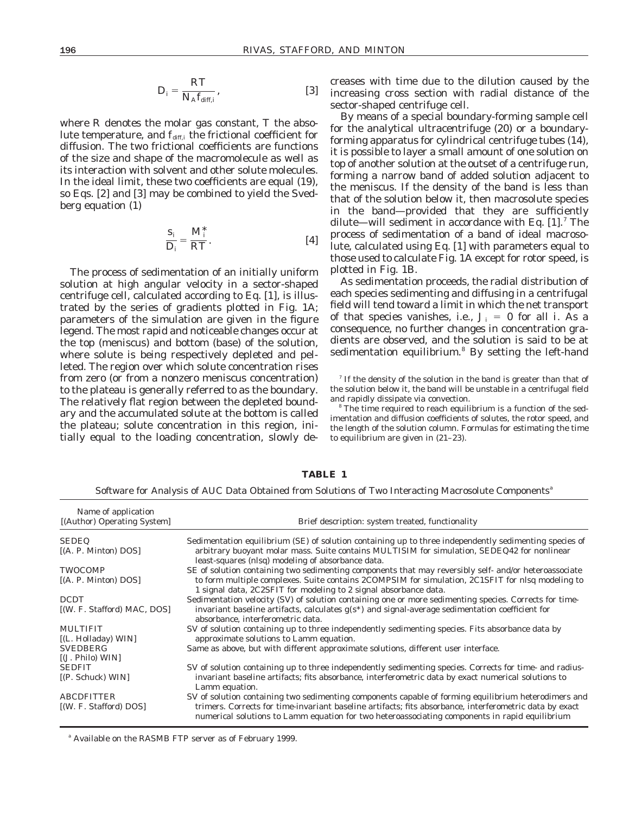$$
D_i = \frac{RT}{N_A f_{\text{diff},i}},\tag{3}
$$

where *R* denotes the molar gas constant, *T* the absolute temperature, and  $f_{diff,i}$  the frictional coefficient for diffusion. The two frictional coefficients are functions of the size and shape of the macromolecule as well as its interaction with solvent and other solute molecules. In the ideal limit, these two coefficients are equal (19), so Eqs. [2] and [3] may be combined to yield the Svedberg equation (1)

$$
\frac{S_i}{D_i} = \frac{M_i^*}{RT}.
$$
 [4]

The process of sedimentation of an initially uniform solution at high angular velocity in a sector-shaped centrifuge cell, calculated according to Eq. [1], is illustrated by the series of gradients plotted in Fig. 1A; parameters of the simulation are given in the figure legend. The most rapid and noticeable changes occur at the top (meniscus) and bottom (base) of the solution, where solute is being respectively depleted and pelleted. The region over which solute concentration rises from zero (or from a nonzero meniscus concentration) to the plateau is generally referred to as the boundary. The relatively flat region between the depleted boundary and the accumulated solute at the bottom is called the plateau; solute concentration in this region, initially equal to the loading concentration, slowly decreases with time due to the dilution caused by the increasing cross section with radial distance of the sector-shaped centrifuge cell.

By means of a special boundary-forming sample cell for the analytical ultracentrifuge (20) or a boundaryforming apparatus for cylindrical centrifuge tubes (14), it is possible to layer a small amount of one solution on top of another solution at the outset of a centrifuge run, forming a narrow band of added solution adjacent to the meniscus. If the density of the band is less than that of the solution below it, then macrosolute species in the band—provided that they are sufficiently dilute—will sediment in accordance with Eq.  $[1]$ .<sup>7</sup> The process of sedimentation of a band of ideal macrosolute, calculated using Eq. [1] with parameters equal to those used to calculate Fig. 1A except for rotor speed, is plotted in Fig. 1B.

As sedimentation proceeds, the radial distribution of each species sedimenting and diffusing in a centrifugal field will tend toward a limit in which the net transport of that species vanishes, i.e.,  $J_i = 0$  for all *i*. As a consequence, no further changes in concentration gradients are observed, and the solution is said to be at sedimentation equilibrium.<sup>8</sup> By setting the left-hand

 $7$  If the density of the solution in the band is greater than that of the solution below it, the band will be unstable in a centrifugal field and rapidly dissipate via convection.

<sup>8</sup> The time required to reach equilibrium is a function of the sedimentation and diffusion coefficients of solutes, the rotor speed, and the length of the solution column. Formulas for estimating the time to equilibrium are given in (21–23).

| Name of application<br>[(Author) Operating System] | Brief description: system treated, functionality                                                                                                                                                                                 |
|----------------------------------------------------|----------------------------------------------------------------------------------------------------------------------------------------------------------------------------------------------------------------------------------|
| <b>SEDEQ</b>                                       | Sedimentation equilibrium (SE) of solution containing up to three independently sedimenting species of                                                                                                                           |
| [(A. P. Minton) DOS]                               | arbitrary buoyant molar mass. Suite contains MULTISIM for simulation, SEDEQ42 for nonlinear<br>least-squares (nlsq) modeling of absorbance data.                                                                                 |
| <b>TWOCOMP</b>                                     | SE of solution containing two sedimenting components that may reversibly self- and/or heteroassociate                                                                                                                            |
| [(A. P. Minton) DOS]                               | to form multiple complexes. Suite contains 2COMPSIM for simulation, 2C1SFIT for nlsq modeling to<br>1 signal data, 2C2SFIT for modeling to 2 signal absorbance data.                                                             |
| <b>DCDT</b>                                        | Sedimentation velocity (SV) of solution containing one or more sedimenting species. Corrects for time-                                                                                                                           |
| [(W. F. Stafford) MAC, DOS]                        | invariant baseline artifacts, calculates $g(s^*)$ and signal-average sedimentation coefficient for<br>absorbance, interferometric data.                                                                                          |
| <b>MULTIFIT</b><br>$[$ (L. Holladay) WIN $]$       | SV of solution containing up to three independently sedimenting species. Fits absorbance data by<br>approximate solutions to Lamm equation.                                                                                      |
| <b>SVEDBERG</b><br>[(J. Philo) WIN]                | Same as above, but with different approximate solutions, different user interface.                                                                                                                                               |
| <b>SEDFIT</b>                                      | SV of solution containing up to three independently sedimenting species. Corrects for time- and radius-<br>invariant baseline artifacts; fits absorbance, interferometric data by exact numerical solutions to<br>Lamm equation. |
| $[$ (P. Schuck) WIN $]$                            |                                                                                                                                                                                                                                  |
| <b>ABCDFITTER</b>                                  | SV of solution containing two sedimenting components capable of forming equilibrium heterodimers and                                                                                                                             |
| [(W. F. Stafford) DOS]                             | trimers. Corrects for time-invariant baseline artifacts; fits absorbance, interferometric data by exact<br>numerical solutions to Lamm equation for two heteroassociating components in rapid equilibrium                        |

**TABLE 1**

Software for Analysis of AUC Data Obtained from Solutions of Two Interacting Macrosolute Components*<sup>a</sup>*

*<sup>a</sup>* Available on the RASMB FTP server as of February 1999.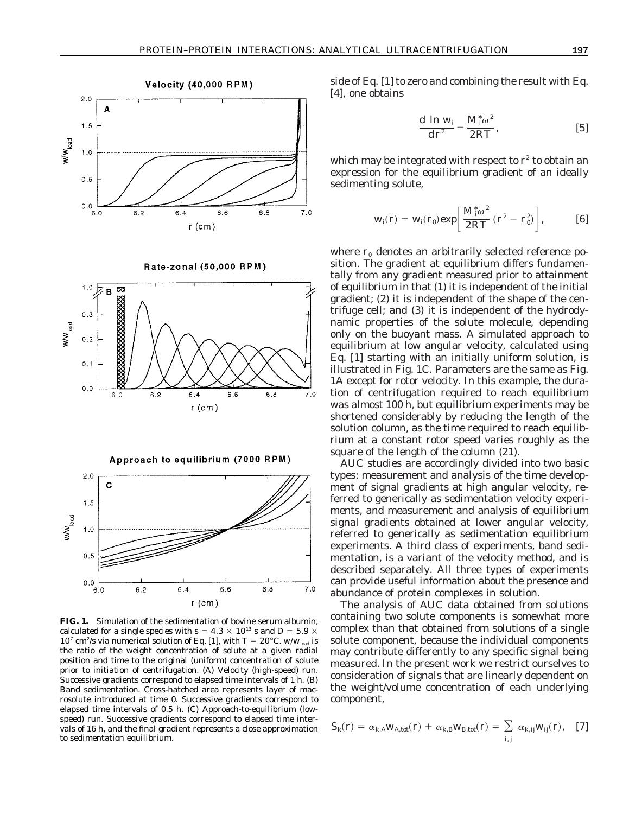

Rate-zonal (50,000 RPM)



Approach to equilibrium (7000 RPM)



**FIG. 1.** Simulation of the sedimentation of bovine serum albumin, calculated for a single species with  $s = 4.3 \times 10^{13}$  s and  $D = 5.9 \times$  $10^7$  cm<sup>2</sup>/s via numerical solution of Eq. [1], with  $T = 20^{\circ}$ C. *w*/*w*<sub>load</sub> is the ratio of the weight concentration of solute at a given radial position and time to the original (uniform) concentration of solute prior to initiation of centrifugation. (A) Velocity (high-speed) run. Successive gradients correspond to elapsed time intervals of 1 h. (B) Band sedimentation. Cross-hatched area represents layer of macrosolute introduced at time 0. Successive gradients correspond to elapsed time intervals of 0.5 h. (C) Approach-to-equilibrium (lowspeed) run. Successive gradients correspond to elapsed time intervals of 16 h, and the final gradient represents a close approximation to sedimentation equilibrium.

side of Eq. [1] to zero and combining the result with Eq. [4], one obtains

$$
\frac{d \ln w_i}{dr^2} = \frac{M_{i\omega}^*}{2RT},
$$
 [5]

which may be integrated with respect to  $r^2$  to obtain an expression for the equilibrium gradient of an ideally sedimenting solute,

$$
W_i(r) = W_i(r_0) \exp \left[ \frac{M_{i\omega}^*}{2RT} (r^2 - r_0^2) \right],
$$
 [6]

where  $r_0$  denotes an arbitrarily selected reference position. The gradient at equilibrium differs fundamentally from any gradient measured prior to attainment of equilibrium in that (1) it is independent of the initial gradient; (2) it is independent of the shape of the centrifuge cell; and (3) it is independent of the hydrodynamic properties of the solute molecule, depending only on the buoyant mass. A simulated approach to equilibrium at low angular velocity, calculated using Eq. [1] starting with an initially uniform solution, is illustrated in Fig. 1C. Parameters are the same as Fig. 1A except for rotor velocity. In this example, the duration of centrifugation required to reach equilibrium was almost 100 h, but equilibrium experiments may be shortened considerably by reducing the length of the solution column, as the time required to reach equilibrium at a constant rotor speed varies roughly as the square of the length of the column (21).

AUC studies are accordingly divided into two basic types: measurement and analysis of the time development of signal gradients at high angular velocity, referred to generically as sedimentation velocity experiments, and measurement and analysis of equilibrium signal gradients obtained at lower angular velocity, referred to generically as sedimentation equilibrium experiments. A third class of experiments, band sedimentation, is a variant of the velocity method, and is described separately. All three types of experiments can provide useful information about the presence and abundance of protein complexes in solution.

The analysis of AUC data obtained from solutions containing two solute components is somewhat more complex than that obtained from solutions of a single solute component, because the individual components may contribute differently to any specific signal being measured. In the present work we restrict ourselves to consideration of signals that are linearly dependent on the weight/volume concentration of each underlying component,

$$
S_k(r) = \alpha_{k,\mathrm{A}} W_{\mathrm{A,tot}}(r) + \alpha_{k,\mathrm{B}} W_{\mathrm{B,tot}}(r) = \sum_{i,j} \alpha_{k,ij} W_{ij}(r), \quad [7]
$$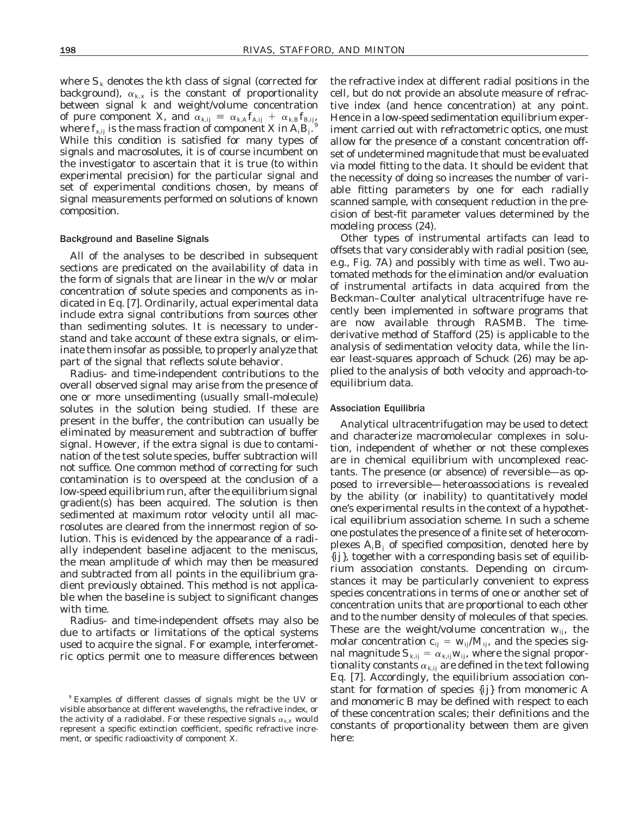where  $S_k$  denotes the  $k$ th class of signal (corrected for background),  $\alpha_{k,x}$  is the constant of proportionality between signal *k* and weight/volume concentration of pure component *X*, and  $\alpha_{k,ij} \equiv \alpha_{k,\text{A}} f_{\text{A},ij} + \alpha_{k,\text{B}} f_{\text{B},ij}$ , where  $f_{x,ij}$  is the mass fraction of component *X* in  $A_iB_j$ . 9 While this condition is satisfied for many types of signals and macrosolutes, it is of course incumbent on the investigator to ascertain that it is true (to within experimental precision) for the particular signal and set of experimental conditions chosen, by means of signal measurements performed on solutions of known composition.

#### Background and Baseline Signals

All of the analyses to be described in subsequent sections are predicated on the availability of data in the form of signals that are linear in the w/v or molar concentration of solute species and components as indicated in Eq. [7]. Ordinarily, actual experimental data include extra signal contributions from sources other than sedimenting solutes. It is necessary to understand and take account of these extra signals, or eliminate them insofar as possible, to properly analyze that part of the signal that reflects solute behavior.

Radius- and time-independent contributions to the overall observed signal may arise from the presence of one or more unsedimenting (usually small-molecule) solutes in the solution being studied. If these are present in the buffer, the contribution can usually be eliminated by measurement and subtraction of buffer signal. However, if the extra signal is due to contamination of the test solute species, buffer subtraction will not suffice. One common method of correcting for such contamination is to overspeed at the conclusion of a low-speed equilibrium run, after the equilibrium signal gradient(s) has been acquired. The solution is then sedimented at maximum rotor velocity until all macrosolutes are cleared from the innermost region of solution. This is evidenced by the appearance of a radially independent baseline adjacent to the meniscus, the mean amplitude of which may then be measured and subtracted from all points in the equilibrium gradient previously obtained. This method is not applicable when the baseline is subject to significant changes with time.

Radius- and time-independent offsets may also be due to artifacts or limitations of the optical systems used to acquire the signal. For example, interferometric optics permit one to measure differences between the refractive index at different radial positions in the cell, but do not provide an absolute measure of refractive index (and hence concentration) at any point. Hence in a low-speed sedimentation equilibrium experiment carried out with refractometric optics, one must allow for the presence of a constant concentration offset of undetermined magnitude that must be evaluated via model fitting to the data. It should be evident that the necessity of doing so increases the number of variable fitting parameters by one for each radially scanned sample, with consequent reduction in the precision of best-fit parameter values determined by the modeling process (24).

Other types of instrumental artifacts can lead to offsets that vary considerably with radial position (see, e.g., Fig. 7A) and possibly with time as well. Two automated methods for the elimination and/or evaluation of instrumental artifacts in data acquired from the Beckman–Coulter analytical ultracentrifuge have recently been implemented in software programs that are now available through RASMB. The timederivative method of Stafford (25) is applicable to the analysis of sedimentation velocity data, while the linear least-squares approach of Schuck (26) may be applied to the analysis of both velocity and approach-toequilibrium data.

#### Association Equilibria

Analytical ultracentrifugation may be used to detect and characterize macromolecular complexes in solution, independent of whether or not these complexes are in chemical equilibrium with uncomplexed reactants. The presence (or absence) of reversible—as opposed to irreversible—heteroassociations is revealed by the ability (or inability) to quantitatively model one's experimental results in the context of a hypothetical equilibrium association scheme. In such a scheme one postulates the presence of a finite set of heterocomplexes A*i*B*<sup>j</sup>* of specified composition, denoted here by {*ij*}, together with a corresponding basis set of equilibrium association constants. Depending on circumstances it may be particularly convenient to express species concentrations in terms of one or another set of concentration units that are proportional to each other and to the number density of molecules of that species. These are the weight/volume concentration  $W_{ij}$ , the molar concentration  $c_{ij} = w_{ij}/M_{ij}$ , and the species signal magnitude  $S_{k,ij} = \alpha_{k,ij} w_{ij}$ , where the signal proportionality constants  $\alpha_{k,ij}$  are defined in the text following Eq. [7]. Accordingly, the equilibrium association constant for formation of species {*ij*} from monomeric A and monomeric B may be defined with respect to each of these concentration scales; their definitions and the constants of proportionality between them are given here:

<sup>9</sup> Examples of different classes of signals might be the UV or visible absorbance at different wavelengths, the refractive index, or the activity of a radiolabel. For these respective signals  $\alpha_{k,X}$  would represent a specific extinction coefficient, specific refractive increment, or specific radioactivity of component *X*.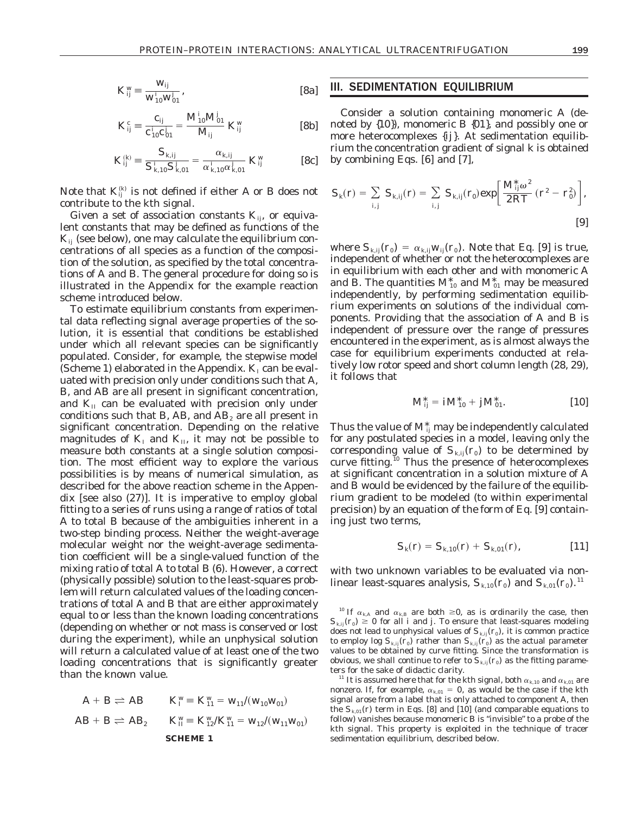$$
K_{ij}^w \equiv \frac{W_{ij}}{W_{10}^j W_{01}^j},
$$
 [8a]

$$
K_{ij}^c \equiv \frac{c_{ij}}{c_{10}^i c_{01}^j} = \frac{M_{10}^i M_{01}^j}{M_{ij}} K_{ij}^w
$$
 [8b]

$$
K_{ij}^{(k)} \equiv \frac{S_{k,ij}}{S_{k,10}^i S_{k,01}^j} = \frac{\alpha_{k,ij}}{\alpha_{k,10}^i \alpha_{k,01}^j} K_{ij}^w
$$
 [8c]

Note that  $K_{ij}^{(k)}$  is not defined if either A or B does not contribute to the *k*th signal.

Given a set of association constants  $K_{ii}$ , or equivalent constants that may be defined as functions of the  $K_{ii}$  (see below), one may calculate the equilibrium concentrations of all species as a function of the composition of the solution, as specified by the total concentrations of A and B. The general procedure for doing so is illustrated in the Appendix for the example reaction scheme introduced below.

To estimate equilibrium constants from experimental data reflecting signal average properties of the solution, it is essential that conditions be established under which all relevant species can be significantly populated. Consider, for example, the stepwise model (Scheme 1) elaborated in the Appendix.  $K_I$  can be evaluated with precision only under conditions such that A, B, and AB are all present in significant concentration, and  $K_{\text{II}}$  can be evaluated with precision only under conditions such that B, AB, and  $AB_2$  are all present in significant concentration. Depending on the relative magnitudes of  $K_{\text{I}}$  and  $K_{\text{II}}$ , it may not be possible to measure both constants at a single solution composition. The most efficient way to explore the various possibilities is by means of numerical simulation, as described for the above reaction scheme in the Appendix [see also (27)]. It is imperative to employ global fitting to a series of runs using a range of ratios of total A to total B because of the ambiguities inherent in a two-step binding process. Neither the weight-average molecular weight nor the weight-average sedimentation coefficient will be a single-valued function of the mixing ratio of total A to total B (6). However, a correct (physically possible) solution to the least-squares problem will return calculated values of the loading concentrations of total A and B that are either approximately equal to or less than the known loading concentrations (depending on whether or not mass is conserved or lost during the experiment), while an unphysical solution will return a calculated value of at least one of the two loading concentrations that is significantly greater than the known value.

 $A + B \rightleftharpoons AB$  $W_{\text{I}}^{\text{W}} \equiv K_{11}^{\text{W}} = W_{11}/(W_{10}W_{01})$  $AB + B \rightleftharpoons AB$ <sub>2</sub>  $W_{II}^W \equiv K_{12}^W / K_{11}^W = W_{12} / (W_{11} W_{01})$ **SCHEME 1**

#### III. SEDIMENTATION EQUILIBRIUM

Consider a solution containing monomeric A (denoted by {10}), monomeric B {01}, and possibly one or more heterocomplexes {*ij*}. At sedimentation equilibrium the concentration gradient of signal *k* is obtained by combining Eqs. [6] and [7],

$$
S_k(r) = \sum_{i,j} S_{k,ij}(r) = \sum_{i,j} S_{k,j}(r_0) \exp \left[ \frac{M_{ij}^* \omega^2}{2RT} (r^2 - r_0^2) \right],
$$
\n[9]

where  $S_{k,ij}(r_0) = \alpha_{k,ij} w_{ij}(r_0)$ . Note that Eq. [9] is true, independent of whether or not the heterocomplexes are in equilibrium with each other and with monomeric A and B. The quantities  $M_{10}^*$  and  $M_{01}^*$  may be measured independently, by performing sedimentation equilibrium experiments on solutions of the individual components. Providing that the association of A and B is independent of pressure over the range of pressures encountered in the experiment, as is almost always the case for equilibrium experiments conducted at relatively low rotor speed and short column length (28, 29), it follows that

$$
M_{ij}^* = iM_{10}^* + jM_{01}^*.
$$
 [10]

Thus the value of *M*\**ij* may be independently calculated for any postulated species in a model, leaving only the corresponding value of  $S_{k,ij}(r_0)$  to be determined by curve fitting.<sup>10</sup> Thus the presence of heterocomplexes at significant concentration in a solution mixture of A and B would be evidenced by the failure of the equilibrium gradient to be modeled (to within experimental precision) by an equation of the form of Eq. [9] containing just two terms,

$$
S_k(r) = S_{k,10}(r) + S_{k,01}(r), \qquad [11]
$$

with two unknown variables to be evaluated via nonlinear least-squares analysis,  $S_{k,10}(r_0)$  and  $S_{k,01}(r_0)$ .<sup>11</sup>

<sup>&</sup>lt;sup>10</sup> If  $\alpha_{k,A}$  and  $\alpha_{k,B}$  are both  $\geq 0$ , as is ordinarily the case, then  $S_{kji}(r_0) \geq 0$  for all *i* and *j*. To ensure that least-squares modeling does not lead to unphysical values of  $S_{k,i}(r_0)$ , it is common practice to employ log  $S_{k,ij}(r_0)$  rather than  $S_{k,ij}(r_0)$  as the actual parameter values to be obtained by curve fitting. Since the transformation is obvious, we shall continue to refer to  $S_{k,ij}(r_0)$  as the fitting parameters for the sake of didactic clarity.

<sup>&</sup>lt;sup>11</sup> It is assumed here that for the *k*th signal, both  $\alpha_{k,10}$  and  $\alpha_{k,01}$  are nonzero. If, for example,  $\alpha_{k,01} = 0$ , as would be the case if the *k*th signal arose from a label that is only attached to component A, then the  $S_{k,01}(r)$  term in Eqs. [8] and [10] (and comparable equations to follow) vanishes because monomeric B is "invisible" to a probe of the *k*th signal. This property is exploited in the technique of tracer sedimentation equilibrium, described below.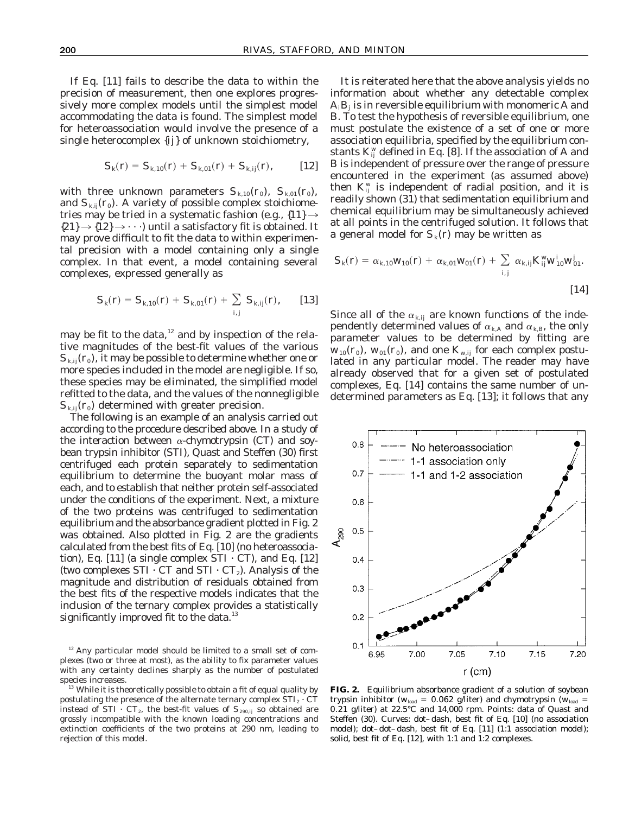$0.8$ 

 $0.7$ 

 $0.6$ 

If Eq. [11] fails to describe the data to within the precision of measurement, then one explores progressively more complex models until the simplest model accommodating the data is found. The simplest model for heteroassociation would involve the presence of a single heterocomplex {*ij*} of unknown stoichiometry,

$$
S_k(r) = S_{k,10}(r) + S_{k,01}(r) + S_{k,ij}(r),
$$
 [12]

with three unknown parameters  $S_{k,10}(r_0)$ ,  $S_{k,01}(r_0)$ , and  $S_{k,i}(r_0)$ . A variety of possible complex stoichiometries may be tried in a systematic fashion (e.g.,  $\{11\} \rightarrow$  ${21} \rightarrow {12} \rightarrow \cdots$ ) until a satisfactory fit is obtained. It may prove difficult to fit the data to within experimental precision with a model containing only a single complex. In that event, a model containing several complexes, expressed generally as

$$
S_k(r) = S_{k,10}(r) + S_{k,01}(r) + \sum_{i,j} S_{k,ij}(r), \qquad [13]
$$

may be fit to the data, $12$  and by inspection of the relative magnitudes of the best-fit values of the various  $S_{k,ii}(r_0)$ , it may be possible to determine whether one or more species included in the model are negligible. If so, these species may be eliminated, the simplified model refitted to the data, and the values of the nonnegligible  $S_{k,ij}(r_0)$  determined with greater precision.

The following is an example of an analysis carried out according to the procedure described above. In a study of the interaction between  $\alpha$ -chymotrypsin (CT) and soybean trypsin inhibitor (STI), Quast and Steffen (30) first centrifuged each protein separately to sedimentation equilibrium to determine the buoyant molar mass of each, and to establish that neither protein self-associated under the conditions of the experiment. Next, a mixture of the two proteins was centrifuged to sedimentation equilibrium and the absorbance gradient plotted in Fig. 2 was obtained. Also plotted in Fig. 2 are the gradients calculated from the best fits of Eq. [10] (no heteroassociation), Eq. [11] (a single complex  $STI \cdot CT$ ), and Eq. [12] (two complexes STI  $\cdot$  CT and STI  $\cdot$  CT<sub>2</sub>). Analysis of the magnitude and distribution of residuals obtained from the best fits of the respective models indicates that the inclusion of the ternary complex provides a statistically significantly improved fit to the data. $^{13}$ 

It is reiterated here that the above analysis yields no information about whether any detectable complex A*i*B*<sup>j</sup>* is in reversible equilibrium with monomeric A and B. To test the hypothesis of reversible equilibrium, one must postulate the existence of a set of one or more association equilibria, specified by the equilibrium constants  $K_{ij}^w$  defined in Eq. [8]. If the association of A and B is independent of pressure over the range of pressure encountered in the experiment (as assumed above) then  $K_{ij}^w$  is independent of radial position, and it is readily shown (31) that sedimentation equilibrium and chemical equilibrium may be simultaneously achieved at all points in the centrifuged solution. It follows that a general model for  $S_k(r)$  may be written as

$$
S_k(r) = \alpha_{k,10} W_{10}(r) + \alpha_{k,01} W_{01}(r) + \sum_{i,j} \alpha_{k,ij} K_{ij}^w W_{10}^i W_{01}^j.
$$
\n[14]

Since all of the  $\alpha_{k,ij}$  are known functions of the independently determined values of  $\alpha_{k,\text{A}}$  and  $\alpha_{k,\text{B}}$ , the only parameter values to be determined by fitting are  $W_{10}(r_0)$ ,  $W_{01}(r_0)$ , and one  $K_{w,ii}$  for each complex postulated in any particular model. The reader may have already observed that for a given set of postulated complexes, Eq. [14] contains the same number of undetermined parameters as Eq. [13]; it follows that any

> No heteroassociation 1-1 association only

1-1 and 1-2 association



model); dot–dot–dash, best fit of Eq. [11] (1:1 association model);

solid, best fit of Eq. [12], with 1:1 and 1:2 complexes.

 $12$  Any particular model should be limited to a small set of complexes (two or three at most), as the ability to fix parameter values with any certainty declines sharply as the number of postulated species increases.

 $13$  While it is theoretically possible to obtain a fit of equal quality by postulating the presence of the alternate ternary complex  $STI_2 \cdot CT$ instead of STI  $\cdot$  CT<sub>2</sub>, the best-fit values of  $S_{290,i}$  so obtained are grossly incompatible with the known loading concentrations and extinction coefficients of the two proteins at 290 nm, leading to rejection of this model.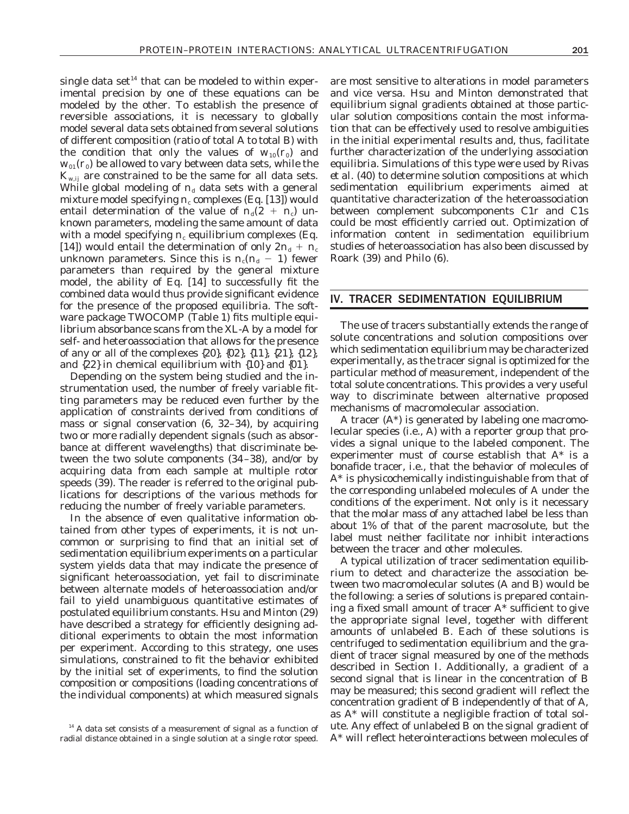single data set<sup>14</sup> that can be modeled to within experimental precision by one of these equations can be modeled by the other. To establish the presence of reversible associations, it is necessary to globally model several data sets obtained from several solutions of different composition (ratio of total A to total B) with the condition that only the values of  $W_{10}(r_0)$  and  $w_{01}(r_0)$  be allowed to vary between data sets, while the  $K_{w,i}$  are constrained to be the same for all data sets. While global modeling of  $n_d$  data sets with a general mixture model specifying  $n_c$  complexes (Eq. [13]) would entail determination of the value of  $n_d(2 + n_c)$  unknown parameters, modeling the same amount of data with a model specifying  $n_c$  equilibrium complexes (Eq. [14]) would entail the determination of only  $2n_d + n_c$ unknown parameters. Since this is  $n_c(n_d - 1)$  fewer parameters than required by the general mixture model, the ability of Eq. [14] to successfully fit the combined data would thus provide significant evidence for the presence of the proposed equilibria. The software package TWOCOMP (Table 1) fits multiple equilibrium absorbance scans from the XL-A by a model for self- and heteroassociation that allows for the presence of any or all of the complexes {20}, {02}, {11}, {21}, {12}, and {22} in chemical equilibrium with {10} and {01}.

Depending on the system being studied and the instrumentation used, the number of freely variable fitting parameters may be reduced even further by the application of constraints derived from conditions of mass or signal conservation (6, 32–34), by acquiring two or more radially dependent signals (such as absorbance at different wavelengths) that discriminate between the two solute components (34–38), and/or by acquiring data from each sample at multiple rotor speeds (39). The reader is referred to the original publications for descriptions of the various methods for reducing the number of freely variable parameters.

In the absence of even qualitative information obtained from other types of experiments, it is not uncommon or surprising to find that an initial set of sedimentation equilibrium experiments on a particular system yields data that may indicate the presence of significant heteroassociation, yet fail to discriminate between alternate models of heteroassociation and/or fail to yield unambiguous quantitative estimates of postulated equilibrium constants. Hsu and Minton (29) have described a strategy for efficiently designing additional experiments to obtain the most information per experiment. According to this strategy, one uses simulations, constrained to fit the behavior exhibited by the initial set of experiments, to find the solution composition or compositions (loading concentrations of the individual components) at which measured signals

 $14$  A data set consists of a measurement of signal as a function of radial distance obtained in a single solution at a single rotor speed.

are most sensitive to alterations in model parameters and vice versa. Hsu and Minton demonstrated that equilibrium signal gradients obtained at those particular solution compositions contain the most information that can be effectively used to resolve ambiguities in the initial experimental results and, thus, facilitate further characterization of the underlying association equilibria. Simulations of this type were used by Rivas *et al.* (40) to determine solution compositions at which sedimentation equilibrium experiments aimed at quantitative characterization of the heteroassociation between complement subcomponents C1r and C1s could be most efficiently carried out. Optimization of information content in sedimentation equilibrium studies of heteroassociation has also been discussed by Roark (39) and Philo (6).

#### IV. TRACER SEDIMENTATION EQUILIBRIUM

The use of tracers substantially extends the range of solute concentrations and solution compositions over which sedimentation equilibrium may be characterized experimentally, as the tracer signal is optimized for the particular method of measurement, independent of the total solute concentrations. This provides a very useful way to discriminate between alternative proposed mechanisms of macromolecular association.

A tracer (A\*) is generated by labeling one macromolecular species (i.e., A) with a reporter group that provides a signal unique to the labeled component. The experimenter must of course establish that A\* is a bonafide tracer, i.e., that the behavior of molecules of A\* is physicochemically indistinguishable from that of the corresponding unlabeled molecules of A under the conditions of the experiment. Not only is it necessary that the molar mass of any attached label be less than about 1% of that of the parent macrosolute, but the label must neither facilitate nor inhibit interactions between the tracer and other molecules.

A typical utilization of tracer sedimentation equilibrium to detect and characterize the association between two macromolecular solutes (A and B) would be the following: a series of solutions is prepared containing a fixed small amount of tracer A\* sufficient to give the appropriate signal level, together with different amounts of unlabeled B. Each of these solutions is centrifuged to sedimentation equilibrium and the gradient of tracer signal measured by one of the methods described in Section I. Additionally, a gradient of a second signal that is linear in the concentration of B may be measured; this second gradient will reflect the concentration gradient of B independently of that of A, as A\* will constitute a negligible fraction of total solute. Any effect of unlabeled B on the signal gradient of A\* will reflect heterointeractions between molecules of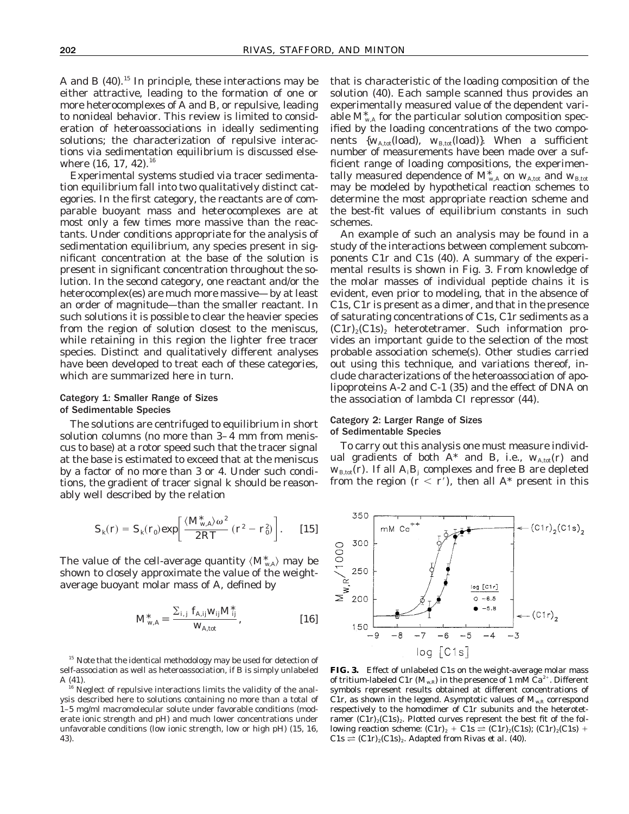A and B  $(40)$ .<sup>15</sup> In principle, these interactions may be either attractive, leading to the formation of one or more heterocomplexes of A and B, or repulsive, leading to nonideal behavior. This review is limited to consideration of heteroassociations in ideally sedimenting solutions; the characterization of repulsive interactions via sedimentation equilibrium is discussed elsewhere  $(16, 17, 42).$ <sup>16</sup>

Experimental systems studied via tracer sedimentation equilibrium fall into two qualitatively distinct categories. In the first category, the reactants are of comparable buoyant mass and heterocomplexes are at most only a few times more massive than the reactants. Under conditions appropriate for the analysis of sedimentation equilibrium, any species present in significant concentration at the base of the solution is present in significant concentration throughout the solution. In the second category, one reactant and/or the heterocomplex(es) are much more massive—by at least an order of magnitude—than the smaller reactant. In such solutions it is possible to clear the heavier species from the region of solution closest to the meniscus, while retaining in this region the lighter free tracer species. Distinct and qualitatively different analyses have been developed to treat each of these categories, which are summarized here in turn.

### Category 1: Smaller Range of Sizes of Sedimentable Species

The solutions are centrifuged to equilibrium in short solution columns (no more than 3–4 mm from meniscus to base) at a rotor speed such that the tracer signal at the base is estimated to exceed that at the meniscus by a factor of no more than 3 or 4. Under such conditions, the gradient of tracer signal *k* should be reasonably well described by the relation

$$
S_k(r) = S_k(r_0) \exp\left[\frac{\langle M_{w,\Delta}^* \rangle \omega^2}{2RT} (r^2 - r_0^2)\right].
$$
 [15]

The value of the cell-average quantity  $\langle M_{\rm w,A}^* \rangle$  may be shown to closely approximate the value of the weightaverage buoyant molar mass of A, defined by

$$
M_{w,\text{A}}^* = \frac{\sum_{i,j} f_{\text{A},ij} W_{ij} M_{ij}^*}{W_{\text{A,tot}}},
$$
 [16]

<sup>15</sup> Note that the identical methodology may be used for detection of self-association as well as heteroassociation, if B is simply unlabeled A (41).

<sup>16</sup> Neglect of repulsive interactions limits the validity of the analysis described here to solutions containing no more than a total of 1–5 mg/ml macromolecular solute under favorable conditions (moderate ionic strength and pH) and much lower concentrations under unfavorable conditions (low ionic strength, low or high pH) (15, 16, 43).

that is characteristic of the loading composition of the solution (40). Each sample scanned thus provides an experimentally measured value of the dependent variable  $M_{\scriptscriptstyle\rm\scriptscriptstyle W,A}^*$  for the particular solution composition specified by the loading concentrations of the two components  $\{W_{A,\text{tot}}(\text{load})\}$ ,  $W_{B,\text{tot}}(\text{load})\}$ . When a sufficient number of measurements have been made over a sufficient range of loading compositions, the experimentally measured dependence of  $M_{\mathrm{\textit{w},A}}^{\ast}$  on  $\textit{w}_{\mathrm{A,tot}}$  and  $\textit{w}_{\mathrm{B,tot}}$ may be modeled by hypothetical reaction schemes to determine the most appropriate reaction scheme and the best-fit values of equilibrium constants in such schemes.

An example of such an analysis may be found in a study of the interactions between complement subcomponents C1r and C1s (40). A summary of the experimental results is shown in Fig. 3. From knowledge of the molar masses of individual peptide chains it is evident, even prior to modeling, that in the absence of C1s, C1r is present as a dimer, and that in the presence of saturating concentrations of C1s, C1r sediments as a  $(C1r)_{2}(C1s)_{2}$  heterotetramer. Such information provides an important guide to the selection of the most probable association scheme(s). Other studies carried out using this technique, and variations thereof, include characterizations of the heteroassociation of apolipoproteins A-2 and C-1 (35) and the effect of DNA on the association of lambda CI repressor (44).

#### Category 2: Larger Range of Sizes of Sedimentable Species

To carry out this analysis one must measure individual gradients of both  $A^*$  and B, i.e.,  $W_{A,\text{tot}}(r)$  and  $W_{\text{B,tot}}(r)$ . If all  $A_iB_j$  complexes and free B are depleted from the region  $(r < r')$ , then all A\* present in this



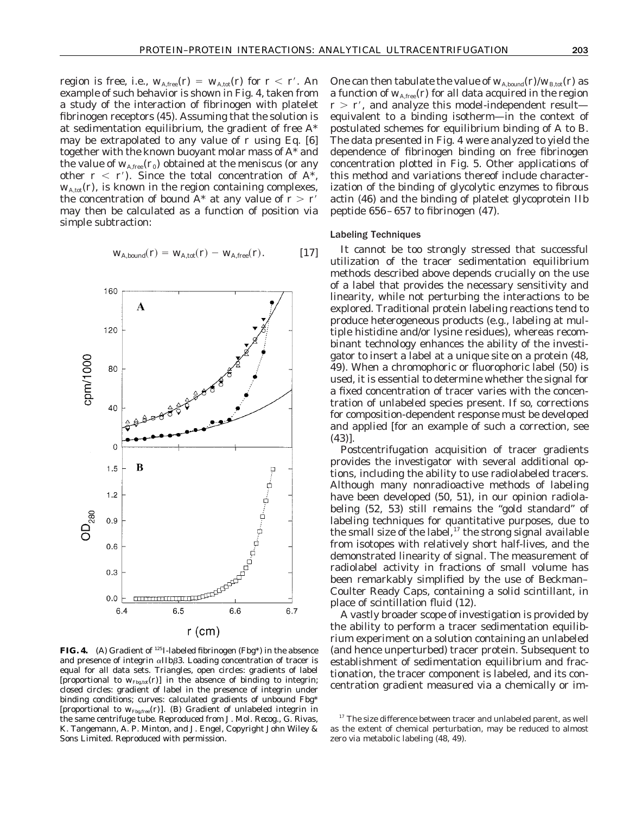region is free, i.e.,  $W_{A,\text{free}}(r) = W_{A,\text{tot}}(r)$  for  $r < r'$ . An example of such behavior is shown in Fig. 4, taken from a study of the interaction of fibrinogen with platelet fibrinogen receptors (45). Assuming that the solution is at sedimentation equilibrium, the gradient of free A\* may be extrapolated to any value of *r* using Eq. [6] together with the known buoyant molar mass of A\* and the value of  $W_{\text{A,free}}(r_0)$  obtained at the meniscus (or any other  $r < r'$ ). Since the total concentration of  $A^*$ ,  $W_{A,\text{tot}}(r)$ , is known in the region containing complexes, the concentration of bound  $A^*$  at any value of  $r > r'$ may then be calculated as a function of position via simple subtraction:





**FIG. 4.** (A) Gradient of <sup>125</sup>I-labeled fibrinogen (Fbg\*) in the absence and presence of integrin  $\alpha$ IIb $\beta$ 3. Loading concentration of tracer is equal for all data sets. Triangles, open circles: gradients of label [proportional to  $W_{\text{Fbc,tot}}(r)$ ] in the absence of binding to integrin; closed circles: gradient of label in the presence of integrin under binding conditions; curves: calculated gradients of unbound Fbg\* [proportional to  $W_{Fbg,free}(r)$ ]. (B) Gradient of unlabeled integrin in the same centrifuge tube. Reproduced from *J. Mol. Recog.,* G. Rivas, K. Tangemann, A. P. Minton, and J. Engel, Copyright John Wiley & Sons Limited. Reproduced with permission.

One can then tabulate the value of  $W_{A, bound}(r)/W_{B, tot}(r)$  as a function of  $W_{\text{A,free}}(r)$  for all data acquired in the region  $r > r'$ , and analyze this model-independent result equivalent to a binding isotherm—in the context of postulated schemes for equilibrium binding of A to B. The data presented in Fig. 4 were analyzed to yield the dependence of fibrinogen binding on free fibrinogen concentration plotted in Fig. 5. Other applications of this method and variations thereof include characterization of the binding of glycolytic enzymes to fibrous actin (46) and the binding of platelet glycoprotein IIb peptide 656–657 to fibrinogen (47).

#### Labeling Techniques

It cannot be too strongly stressed that successful utilization of the tracer sedimentation equilibrium methods described above depends crucially on the use of a label that provides the necessary sensitivity and linearity, while not perturbing the interactions to be explored. Traditional protein labeling reactions tend to produce heterogeneous products (e.g., labeling at multiple histidine and/or lysine residues), whereas recombinant technology enhances the ability of the investigator to insert a label at a unique site on a protein (48, 49). When a chromophoric or fluorophoric label (50) is used, it is essential to determine whether the signal for a fixed concentration of tracer varies with the concentration of unlabeled species present. If so, corrections for composition-dependent response must be developed and applied [for an example of such a correction, see (43)].

Postcentrifugation acquisition of tracer gradients provides the investigator with several additional options, including the ability to use radiolabeled tracers. Although many nonradioactive methods of labeling have been developed (50, 51), in our opinion radiolabeling (52, 53) still remains the "gold standard" of labeling techniques for quantitative purposes, due to the small size of the label, $17$  the strong signal available from isotopes with relatively short half-lives, and the demonstrated linearity of signal. The measurement of radiolabel activity in fractions of small volume has been remarkably simplified by the use of Beckman– Coulter Ready Caps, containing a solid scintillant, in place of scintillation fluid (12).

A vastly broader scope of investigation is provided by the ability to perform a tracer sedimentation equilibrium experiment on a solution containing an unlabeled (and hence unperturbed) tracer protein. Subsequent to establishment of sedimentation equilibrium and fractionation, the tracer component is labeled, and its concentration gradient measured via a chemically or im-

<sup>&</sup>lt;sup>17</sup> The size difference between tracer and unlabeled parent, as well as the extent of chemical perturbation, may be reduced to almost zero via metabolic labeling (48, 49).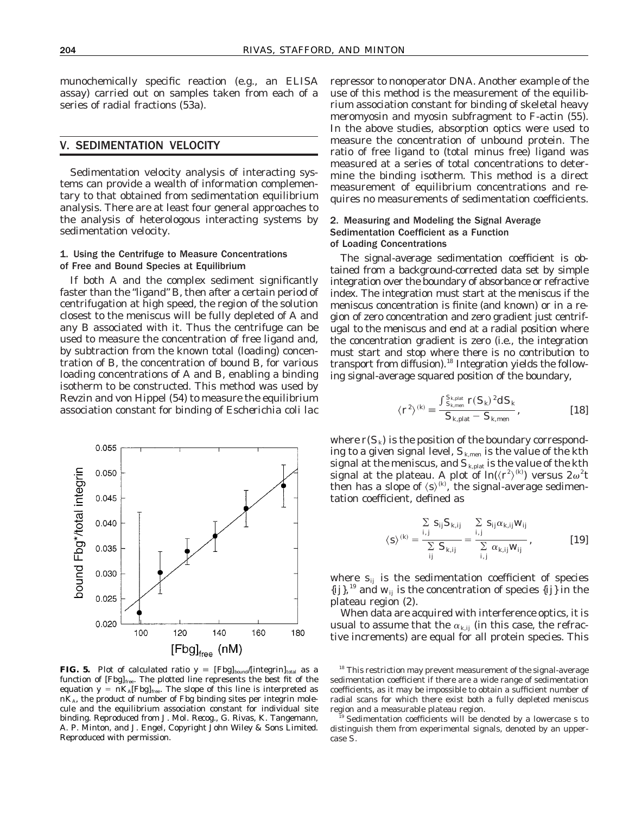munochemically specific reaction (e.g., an ELISA assay) carried out on samples taken from each of a series of radial fractions (53a).

#### V. SEDIMENTATION VELOCITY

Sedimentation velocity analysis of interacting systems can provide a wealth of information complementary to that obtained from sedimentation equilibrium analysis. There are at least four general approaches to the analysis of heterologous interacting systems by sedimentation velocity.

#### 1. Using the Centrifuge to Measure Concentrations of Free and Bound Species at Equilibrium

If both A and the complex sediment significantly faster than the "ligand" B, then after a certain period of centrifugation at high speed, the region of the solution closest to the meniscus will be fully depleted of A and any B associated with it. Thus the centrifuge can be used to measure the concentration of free ligand and, by subtraction from the known total (loading) concentration of B, the concentration of bound B, for various loading concentrations of A and B, enabling a binding isotherm to be constructed. This method was used by Revzin and von Hippel (54) to measure the equilibrium association constant for binding of *Escherichia coli lac*



**FIG. 5.** Plot of calculated ratio  $y = [Fbg]_{bound}$ /[integrin]<sub>total</sub> as a function of [Fbg]<sub>free</sub>. The plotted line represents the best fit of the equation  $y = nK_A[Fbg]_{free}$ . The slope of this line is interpreted as  $nK_A$ , the product of number of Fbg binding sites per integrin molecule and the equilibrium association constant for individual site binding. Reproduced from *J. Mol. Recog.,* G. Rivas, K. Tangemann, A. P. Minton, and J. Engel, Copyright John Wiley & Sons Limited. Reproduced with permission.

repressor to nonoperator DNA. Another example of the use of this method is the measurement of the equilibrium association constant for binding of skeletal heavy meromyosin and myosin subfragment to F-actin (55). In the above studies, absorption optics were used to measure the concentration of unbound protein. The ratio of free ligand to (total minus free) ligand was measured at a series of total concentrations to determine the binding isotherm. This method is a direct measurement of equilibrium concentrations and requires no measurements of sedimentation coefficients.

#### 2. Measuring and Modeling the Signal Average Sedimentation Coefficient as a Function of Loading Concentrations

The signal-average sedimentation coefficient is obtained from a background-corrected data set by simple integration over the boundary of absorbance or refractive index. The integration must start at the meniscus if the meniscus concentration is finite (and known) or in a region of zero concentration and zero gradient just centrifugal to the meniscus and end at a radial position where the concentration gradient is zero (i.e., the integration must start and stop where there is no contribution to transport from diffusion).<sup>18</sup> Integration yields the following signal-average squared position of the boundary,

$$
\langle r^2 \rangle^{(k)} \equiv \frac{\int \frac{S_{k,\text{plat}}}{S_{k,\text{ment}}} r(S_k)^2 dS_k}{S_{k,\text{plat}} - S_{k,\text{men}}},
$$
 [18]

where  $r(S_k)$  is the position of the boundary corresponding to a given signal level, *Sk*,men is the value of the *k*th signal at the meniscus, and *Sk*,plat is the value of the *k*th signal at the plateau. A plot of  $\ln (\langle r^2 \rangle^{(k)})$  versus  $2\omega^2 t$ then has a slope of  $\langle s \rangle^{(k)}$ , the signal-average sedimentation coefficient, defined as

$$
\langle s \rangle^{(k)} = \frac{\sum_{i,j} s_{ij} S_{k,ij}}{\sum_{ij} S_{k,ij}} = \frac{\sum_{i,j} s_{ij} \alpha_{k,ij} W_{ij}}{\sum_{i,j} \alpha_{k,ij} W_{ij}},
$$
 [19]

where  $s_{ij}$  is the sedimentation coefficient of species  ${j}$ , <sup>19</sup> and  $W_{ij}$  is the concentration of species  ${j}$  in the plateau region (2).

When data are acquired with interference optics, it is usual to assume that the  $\alpha_{k,ij}$  (in this case, the refractive increments) are equal for all protein species. This

<sup>&</sup>lt;sup>18</sup> This restriction may prevent measurement of the signal-average sedimentation coefficient if there are a wide range of sedimentation coefficients, as it may be impossible to obtain a sufficient number of radial scans for which there exist both a fully depleted meniscus region and a measurable plateau region.

<sup>19</sup> Sedimentation coefficients will be denoted by a lowercase *s* to distinguish them from experimental signals, denoted by an uppercase *S*.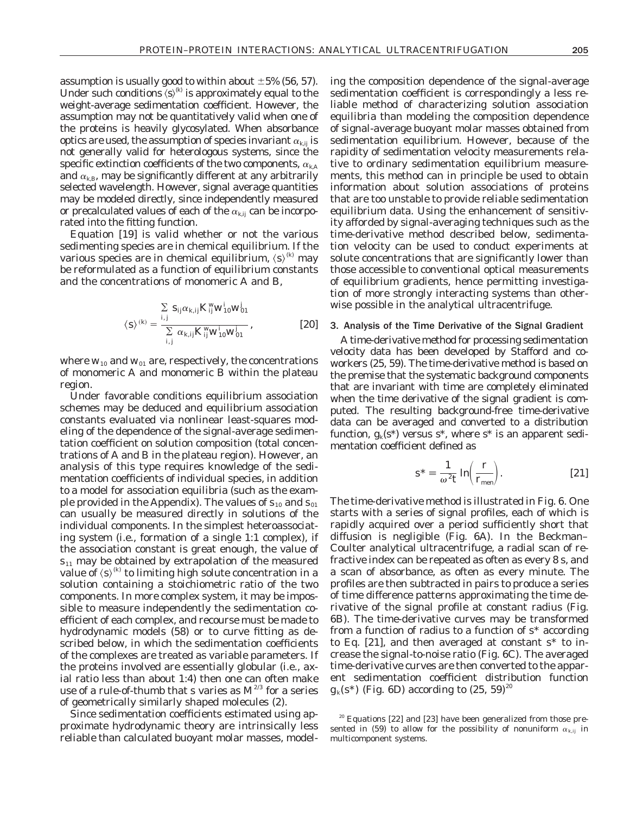assumption is usually good to within about  $\pm 5\%$  (56, 57). Under such conditions  $\langle s \rangle^{(k)}$  is approximately equal to the weight-average sedimentation coefficient. However, the assumption may not be quantitatively valid when one of the proteins is heavily glycosylated. When absorbance optics are used, the assumption of species invariant  $\alpha_{k}$ *i* is not generally valid for heterologous systems, since the specific extinction coefficients of the two components,  $\alpha_{kA}$ and  $\alpha_{kB}$ , may be significantly different at any arbitrarily selected wavelength. However, signal average quantities may be modeled directly, since independently measured or precalculated values of each of the  $\alpha_{k,ij}$  can be incorporated into the fitting function.

Equation [19] is valid whether or not the various sedimenting species are in chemical equilibrium. If the various species are in chemical equilibrium,  $\langle s \rangle^{(k)}$  may be reformulated as a function of equilibrium constants and the concentrations of monomeric A and B,

$$
\langle s \rangle^{(k)} = \frac{\sum\limits_{i,j} s_{ij} \alpha_{k,ij} K_{ij}^w w_{10}^i w_{01}^j}{\sum\limits_{i,j} \alpha_{k,ij} K_{ij}^w w_{10}^i w_{01}^j},
$$
 [20]

where  $W_{10}$  and  $W_{01}$  are, respectively, the concentrations of monomeric A and monomeric B within the plateau region.

Under favorable conditions equilibrium association schemes may be deduced and equilibrium association constants evaluated via nonlinear least-squares modeling of the dependence of the signal-average sedimentation coefficient on solution composition (total concentrations of A and B in the plateau region). However, an analysis of this type requires knowledge of the sedimentation coefficients of individual species, in addition to a model for association equilibria (such as the example provided in the Appendix). The values of  $s_{10}$  and  $s_{01}$ can usually be measured directly in solutions of the individual components. In the simplest heteroassociating system (i.e., formation of a single 1:1 complex), if the association constant is great enough, the value of  $s_{11}$  may be obtained by extrapolation of the measured value of  $\langle s \rangle^{(k)}$  to limiting high solute concentration in a solution containing a stoichiometric ratio of the two components. In more complex system, it may be impossible to measure independently the sedimentation coefficient of each complex, and recourse must be made to hydrodynamic models (58) or to curve fitting as described below, in which the sedimentation coefficients of the complexes are treated as variable parameters. If the proteins involved are essentially globular (i.e., axial ratio less than about 1:4) then one can often make use of a rule-of-thumb that *s* varies as  $M^{2/3}$  for a series of geometrically similarly shaped molecules (2).

Since sedimentation coefficients estimated using approximate hydrodynamic theory are intrinsically less reliable than calculated buoyant molar masses, modeling the composition dependence of the signal-average sedimentation coefficient is correspondingly a less reliable method of characterizing solution association equilibria than modeling the composition dependence of signal-average buoyant molar masses obtained from sedimentation equilibrium. However, because of the rapidity of sedimentation velocity measurements relative to ordinary sedimentation equilibrium measurements, this method can in principle be used to obtain information about solution associations of proteins that are too unstable to provide reliable sedimentation equilibrium data. Using the enhancement of sensitivity afforded by signal-averaging techniques such as the time-derivative method described below, sedimentation velocity can be used to conduct experiments at solute concentrations that are significantly lower than those accessible to conventional optical measurements of equilibrium gradients, hence permitting investigation of more strongly interacting systems than otherwise possible in the analytical ultracentrifuge.

#### 3. Analysis of the Time Derivative of the Signal Gradient

A time-derivative method for processing sedimentation velocity data has been developed by Stafford and coworkers (25, 59). The time-derivative method is based on the premise that the systematic background components that are invariant with time are completely eliminated when the time derivative of the signal gradient is computed. The resulting background-free time-derivative data can be averaged and converted to a distribution function,  $g_k(s^*)$  versus  $s^*$ , where  $s^*$  is an apparent sedimentation coefficient defined as

$$
s^* = \frac{1}{\omega^2 t} \ln \left( \frac{r}{r_{\text{men}}} \right). \tag{21}
$$

The time-derivative method is illustrated in Fig. 6. One starts with a series of signal profiles, each of which is rapidly acquired over a period sufficiently short that diffusion is negligible (Fig. 6A). In the Beckman– Coulter analytical ultracentrifuge, a radial scan of refractive index can be repeated as often as every 8 s, and a scan of absorbance, as often as every minute. The profiles are then subtracted in pairs to produce a series of time difference patterns approximating the time derivative of the signal profile at constant radius (Fig. 6B). The time-derivative curves may be transformed from a function of radius to a function of *s*\* according to Eq. [21], and then averaged at constant *s*\* to increase the signal-to-noise ratio (Fig. 6C). The averaged time-derivative curves are then converted to the apparent sedimentation coefficient distribution function  $g_k(s^*)$  (Fig. 6D) according to  $(25, 59)^{20}$ 

 $20$  Equations [22] and [23] have been generalized from those presented in (59) to allow for the possibility of nonuniform  $\alpha_{k,ij}$  in multicomponent systems.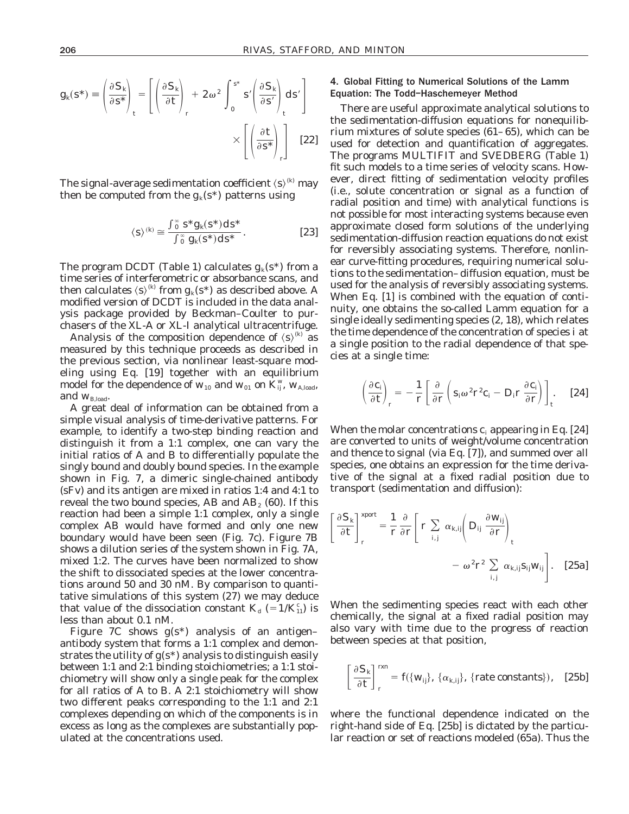$$
g_k(s^*) = \left(\frac{\partial S_k}{\partial s^*}\right)_t = \left[\left(\frac{\partial S_k}{\partial t}\right)_r + 2\omega^2 \int_0^{s^*} s'\left(\frac{\partial S_k}{\partial s'}\right)_t ds'\right] \times \left[\left(\frac{\partial t}{\partial s^*}\right)_r\right] \quad [22]
$$

The signal-average sedimentation coefficient  $\langle s \rangle^{(k)}$  may then be computed from the  $g_k(s^*)$  patterns using

$$
\langle s \rangle^{(k)} \cong \frac{\int_0^\infty s^* g_k(s^*) ds^*}{\int_0^\infty g_k(s^*) ds^*}.
$$
 [23]

The program DCDT (Table 1) calculates  $g_k(s^*)$  from a time series of interferometric or absorbance scans, and then calculates  $\langle s \rangle^{(k)}$  from  $g_k(s^*)$  as described above. A modified version of DCDT is included in the data analysis package provided by Beckman–Coulter to purchasers of the XL-A or XL-I analytical ultracentrifuge.

Analysis of the composition dependence of  $\langle s \rangle^{(k)}$  as measured by this technique proceeds as described in the previous section, via nonlinear least-square modeling using Eq. [19] together with an equilibrium model for the dependence of  $W_{10}$  and  $W_{01}$  on  $\overline{K}_{ij}^w$ ,  $W_{A,\text{load}}$ , and  $W_{\text{B,load}}$ .

A great deal of information can be obtained from a simple visual analysis of time-derivative patterns. For example, to identify a two-step binding reaction and distinguish it from a 1:1 complex, one can vary the initial ratios of A and B to differentially populate the singly bound and doubly bound species. In the example shown in Fig. 7, a dimeric single-chained antibody (sFv) and its antigen are mixed in ratios 1:4 and 4:1 to reveal the two bound species, AB and  $AB<sub>2</sub>$  (60). If this reaction had been a simple 1:1 complex, only a single complex AB would have formed and only one new boundary would have been seen (Fig. 7c). Figure 7B shows a dilution series of the system shown in Fig. 7A, mixed 1:2. The curves have been normalized to show the shift to dissociated species at the lower concentrations around 50 and 30 nM. By comparison to quantitative simulations of this system (27) we may deduce that value of the dissociation constant  $K_d$  (=1/ $K_{11}^c$ ) is less than about 0.1 nM.

Figure 7C shows *g*(*s*\*) analysis of an antigen– antibody system that forms a 1:1 complex and demonstrates the utility of *g*(*s*\*) analysis to distinguish easily between 1:1 and 2:1 binding stoichiometries; a 1:1 stoichiometry will show only a single peak for the complex for all ratios of A to B. A 2:1 stoichiometry will show two different peaks corresponding to the 1:1 and 2:1 complexes depending on which of the components is in excess as long as the complexes are substantially populated at the concentrations used.

## 4. Global Fitting to Numerical Solutions of the Lamm Equation: The Todd–Haschemeyer Method

There are useful approximate analytical solutions to the sedimentation-diffusion equations for nonequilibrium mixtures of solute species (61–65), which can be used for detection and quantification of aggregates. The programs MULTIFIT and SVEDBERG (Table 1) fit such models to a time series of velocity scans. However, direct fitting of sedimentation velocity profiles (i.e., solute concentration or signal as a function of radial position and time) with analytical functions is not possible for most interacting systems because even approximate closed form solutions of the underlying sedimentation-diffusion reaction equations do not exist for reversibly associating systems. Therefore, nonlinear curve-fitting procedures, requiring numerical solutions to the sedimentation–diffusion equation, must be used for the analysis of reversibly associating systems. When Eq. [1] is combined with the equation of continuity, one obtains the so-called Lamm equation for a single ideally sedimenting species (2, 18), which relates the time dependence of the concentration of species *i* at a single position to the radial dependence of that species at a single time:

$$
\left(\frac{\partial c_i}{\partial t}\right)_r = -\frac{1}{r} \left[ \frac{\partial}{\partial r} \left( s_i \omega^2 r^2 c_i - D_i r \frac{\partial c_i}{\partial r} \right) \right]_t.
$$
 [24]

When the molar concentrations  $c_i$  appearing in Eq. [24] are converted to units of weight/volume concentration and thence to signal (via Eq. [7]), and summed over all species, one obtains an expression for the time derivative of the signal at a fixed radial position due to transport (sedimentation and diffusion):

$$
\left[\frac{\partial S_k}{\partial t}\right]_r^{\text{aport}} = \frac{1}{r} \frac{\partial}{\partial r} \left[r \sum_{i,j} \alpha_{k,j} \left(D_{ij} \frac{\partial w_{ij}}{\partial r}\right)_t - \omega^2 r^2 \sum_{i,j} \alpha_{k,j} s_{ij} w_{ij}\right].
$$
 [25a]

When the sedimenting species react with each other chemically, the signal at a fixed radial position may also vary with time due to the progress of reaction between species at that position,

$$
\left[\frac{\partial S_k}{\partial t}\right]_r^{\text{rxn}} = f(\{w_{ij}\}, \{\alpha_{k,ij}\}, \{\text{rate constants}\}), \quad [25b]
$$

where the functional dependence indicated on the right-hand side of Eq. [25b] is dictated by the particular reaction or set of reactions modeled (65a). Thus the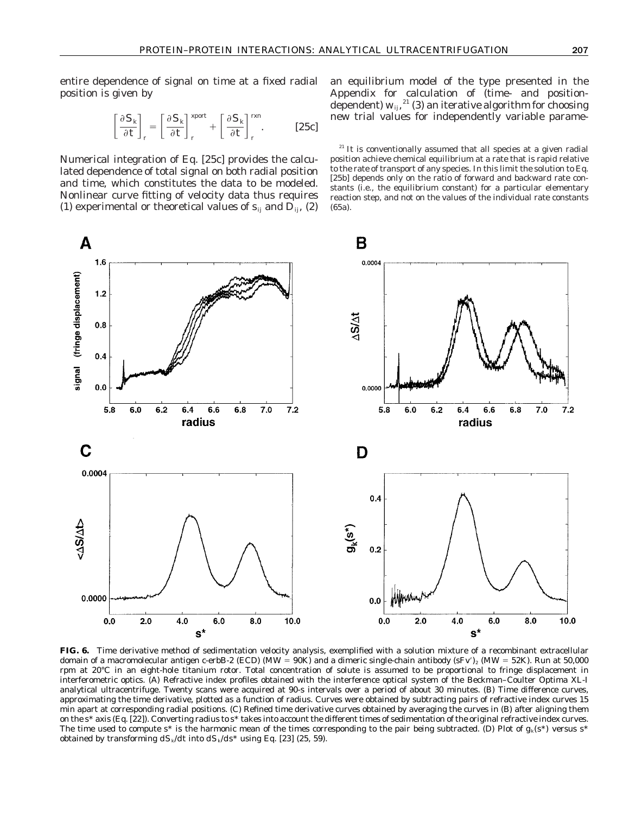entire dependence of signal on time at a fixed radial position is given by

$$
\left[\frac{\partial S_k}{\partial t}\right]_r = \left[\frac{\partial S_k}{\partial t}\right]_r^{\text{spot}} + \left[\frac{\partial S_k}{\partial t}\right]_r^{\text{rxn}}.\tag{25c}
$$

Numerical integration of Eq. [25c] provides the calculated dependence of total signal on both radial position and time, which constitutes the data to be modeled. Nonlinear curve fitting of velocity data thus requires (1) experimental or theoretical values of  $s_{ij}$  and  $D_{ij}$ , (2) an equilibrium model of the type presented in the Appendix for calculation of (time- and positiondependent)  $W_{ij}$ ,  $^{21}$  (3) an iterative algorithm for choosing new trial values for independently variable parame-

 $21$  It is conventionally assumed that all species at a given radial position achieve chemical equilibrium at a rate that is rapid relative to the rate of transport of any species. In this limit the solution to Eq. [25b] depends only on the ratio of forward and backward rate constants (i.e., the equilibrium constant) for a particular elementary reaction step, and not on the values of the individual rate constants (65a).



**FIG. 6.** Time derivative method of sedimentation velocity analysis, exemplified with a solution mixture of a recombinant extracellular domain of a macromolecular antigen c-erbB-2 (ECD) (MW = 90K) and a dimeric single-chain antibody (sFv')<sub>2</sub> (MW = 52K). Run at 50,000 rpm at 20°C in an eight-hole titanium rotor. Total concentration of solute is assumed to be proportional to fringe displacement in interferometric optics. (A) Refractive index profiles obtained with the interference optical system of the Beckman–Coulter Optima XL-I analytical ultracentrifuge. Twenty scans were acquired at 90-s intervals over a period of about 30 minutes. (B) Time difference curves, approximating the time derivative, plotted as a function of radius. Curves were obtained by subtracting pairs of refractive index curves 15 min apart at corresponding radial positions. (C) Refined time derivative curves obtained by averaging the curves in (B) after aligning them on the *s*\* axis (Eq. [22]). Converting radius to *s*\* takes into account the different times of sedimentation of the original refractive index curves. The time used to compute *s*<sup>\*</sup> is the harmonic mean of the times corresponding to the pair being subtracted. (D) Plot of  $g_k(s^*)$  versus  $s^*$ obtained by transforming  $dS_k/dt$  into  $dS_k/ds^*$  using Eq. [23] (25, 59).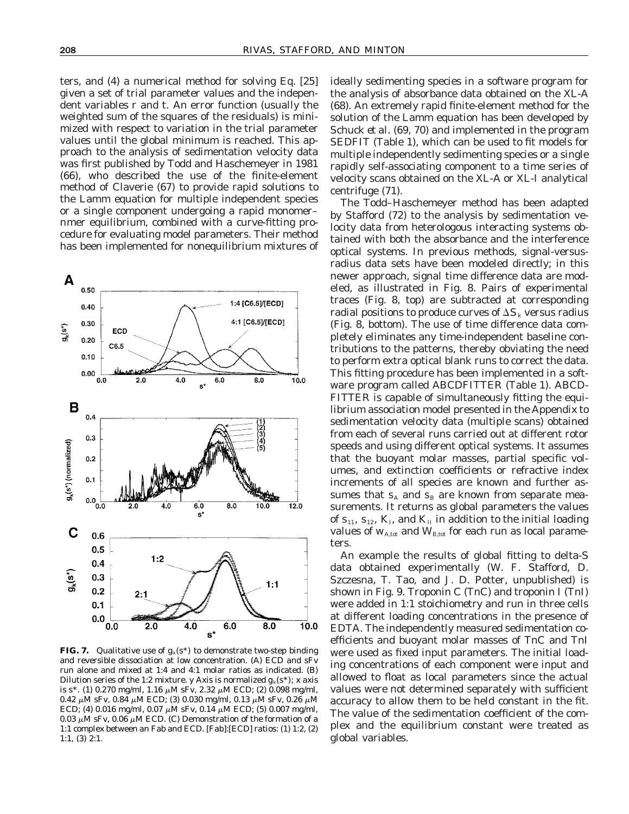ters, and (4) a numerical method for solving Eq. [25] given a set of trial parameter values and the independent variables *r* and *t*. An error function (usually the weighted sum of the squares of the residuals) is minimized with respect to variation in the trial parameter values until the global minimum is reached. This approach to the analysis of sedimentation velocity data was first published by Todd and Haschemeyer in 1981 (66), who described the use of the finite-element method of Claverie (67) to provide rapid solutions to the Lamm equation for multiple independent species or a single component undergoing a rapid monomer– *n*mer equilibrium, combined with a curve-fitting procedure for evaluating model parameters. Their method has been implemented for nonequilibrium mixtures of



**FIG. 7.** Qualitative use of  $g_k(s^*)$  to demonstrate two-step binding and reversible dissociation at low concentration. (A) ECD and sFv run alone and mixed at 1:4 and 4:1 molar ratios as indicated. (B) Dilution series of the 1:2 mixture. *y* Axis is normalized  $g_k(s^*)$ ; *x* axis is *s*<sup>\*</sup>. (1) 0.270 mg/ml, 1.16  $μM$  sFv, 2.32  $μM$  ECD; (2) 0.098 mg/ml,  $0.42 \mu M sFv$ ,  $0.84 \mu M ECD$ ; (3)  $0.030 \text{ mg/ml}$ ,  $0.13 \mu M sFv$ ,  $0.26 \mu M$ ECD; (4) 0.016 mg/ml, 0.07 μ*M* sFv, 0.14 μ*M* ECD; (5) 0.007 mg/ml, 0.03  $\mu$ *M* sFv, 0.06  $\mu$ *M* ECD. (C) Demonstration of the formation of a 1:1 complex between an Fab and ECD. [Fab]:[ECD] ratios: (1) 1:2, (2) 1:1, (3) 2:1.

ideally sedimenting species in a software program for the analysis of absorbance data obtained on the XL-A (68). An extremely rapid finite-element method for the solution of the Lamm equation has been developed by Schuck *et al.* (69, 70) and implemented in the program SEDFIT (Table 1), which can be used to fit models for multiple independently sedimenting species or a single rapidly self-associating component to a time series of velocity scans obtained on the XL-A or XL-I analytical centrifuge (71).

The Todd–Haschemeyer method has been adapted by Stafford (72) to the analysis by sedimentation velocity data from heterologous interacting systems obtained with both the absorbance and the interference optical systems. In previous methods, signal-versusradius data sets have been modeled directly; in this newer approach, signal time difference data are modeled, as illustrated in Fig. 8. Pairs of experimental traces (Fig. 8, top) are subtracted at corresponding radial positions to produce curves of  $\Delta S_k$  versus radius (Fig. 8, bottom). The use of time difference data completely eliminates any time-independent baseline contributions to the patterns, thereby obviating the need to perform extra optical blank runs to correct the data. This fitting procedure has been implemented in a software program called ABCDFITTER (Table 1). ABCD-FITTER is capable of simultaneously fitting the equilibrium association model presented in the Appendix to sedimentation velocity data (multiple scans) obtained from each of several runs carried out at different rotor speeds and using different optical systems. It assumes that the buoyant molar masses, partial specific volumes, and extinction coefficients or refractive index increments of all species are known and further assumes that  $s_A$  and  $s_B$  are known from separate measurements. It returns as global parameters the values of  $s_{11}$ ,  $s_{12}$ ,  $K_I$ , and  $K_{II}$  in addition to the initial loading values of  $W_{A,tot}$  and  $W_{B,tot}$  for each run as local parameters.

An example the results of global fitting to delta-S data obtained experimentally (W. F. Stafford, D. Szczesna, T. Tao, and J. D. Potter, unpublished) is shown in Fig. 9. Troponin C (TnC) and troponin I (TnI) were added in 1:1 stoichiometry and run in three cells at different loading concentrations in the presence of EDTA. The independently measured sedimentation coefficients and buoyant molar masses of TnC and TnI were used as fixed input parameters. The initial loading concentrations of each component were input and allowed to float as local parameters since the actual values were not determined separately with sufficient accuracy to allow them to be held constant in the fit. The value of the sedimentation coefficient of the complex and the equilibrium constant were treated as global variables.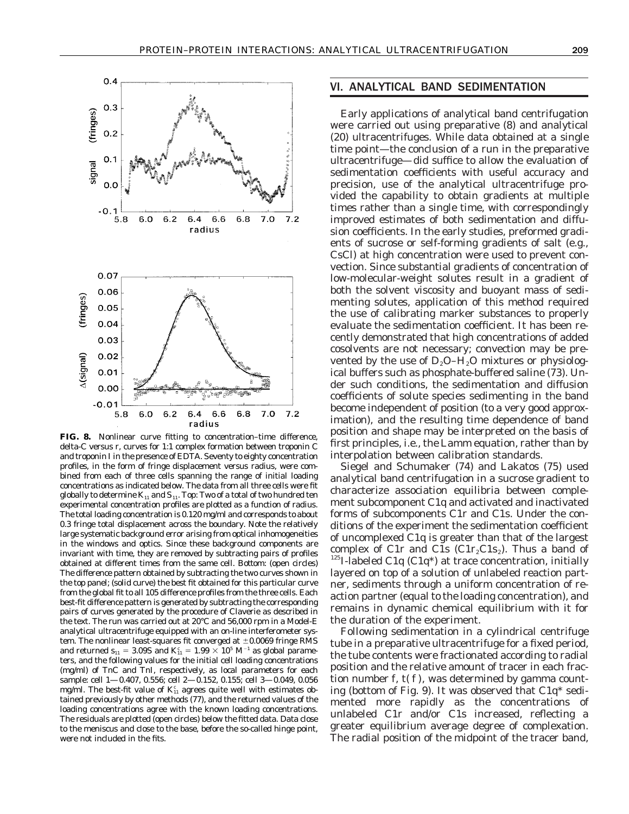

**FIG. 8.** Nonlinear curve fitting to concentration–time difference, delta-C versus *r*, curves for 1:1 complex formation between troponin C and troponin I in the presence of EDTA. Seventy to eighty concentration profiles, in the form of fringe displacement versus radius, were combined from each of three cells spanning the range of initial loading concentrations as indicated below. The data from all three cells were fit globally to determine  $K_{11}$  and  $S_{11}$ . *Top:* Two of a total of two hundred ten experimental concentration profiles are plotted as a function of radius. The total loading concentration is 0.120 mg/ml and corresponds to about 0.3 fringe total displacement across the boundary. Note the relatively large systematic background error arising from optical inhomogeneities in the windows and optics. Since these background components are invariant with time, they are removed by subtracting pairs of profiles obtained at different times from the same cell. *Bottom:* (open circles) The difference pattern obtained by subtracting the two curves shown in the top panel; (solid curve) the best fit obtained for this particular curve from the global fit to all 105 difference profiles from the three cells. Each best-fit difference pattern is generated by subtracting the corresponding pairs of curves generated by the procedure of Claverie as described in the text. The run was carried out at 20°C and 56,000 rpm in a Model-E analytical ultracentrifuge equipped with an on-line interferometer system. The nonlinear least-squares fit converged at  $\pm 0.0069$  fringe RMS and returned  $s_{11} = 3.09S$  and  $K_{11}^c = 1.99 \times 10^5$  M<sup>-1</sup> as global parameters, and the following values for the initial cell loading concentrations (mg/ml) of TnC and TnI, respectively, as local parameters for each sample: cell 1—0.407, 0.556; cell 2—0.152, 0.155; cell 3—0.049, 0.056 mg/ml. The best-fit value of  $K<sub>11</sub><sup>c</sup>$  agrees quite well with estimates obtained previously by other methods (77), and the returned values of the loading concentrations agree with the known loading concentrations. The residuals are plotted (open circles) below the fitted data. Data close to the meniscus and close to the base, before the so-called hinge point, were not included in the fits.

#### VI. ANALYTICAL BAND SEDIMENTATION

Early applications of analytical band centrifugation were carried out using preparative (8) and analytical (20) ultracentrifuges. While data obtained at a single time point—the conclusion of a run in the preparative ultracentrifuge—did suffice to allow the evaluation of sedimentation coefficients with useful accuracy and precision, use of the analytical ultracentrifuge provided the capability to obtain gradients at multiple times rather than a single time, with correspondingly improved estimates of both sedimentation and diffusion coefficients. In the early studies, preformed gradients of sucrose or self-forming gradients of salt (e.g., CsCl) at high concentration were used to prevent convection. Since substantial gradients of concentration of low-molecular-weight solutes result in a gradient of both the solvent viscosity and buoyant mass of sedimenting solutes, application of this method required the use of calibrating marker substances to properly evaluate the sedimentation coefficient. It has been recently demonstrated that high concentrations of added cosolvents are not necessary; convection may be prevented by the use of  $D_2O-H_2O$  mixtures or physiological buffers such as phosphate-buffered saline (73). Under such conditions, the sedimentation and diffusion coefficients of solute species sedimenting in the band become independent of position (to a very good approximation), and the resulting time dependence of band position and shape may be interpreted on the basis of first principles, i.e., the Lamm equation, rather than by interpolation between calibration standards.

Siegel and Schumaker (74) and Lakatos (75) used analytical band centrifugation in a sucrose gradient to characterize association equilibria between complement subcomponent C1q and activated and inactivated forms of subcomponents C1r and C1s. Under the conditions of the experiment the sedimentation coefficient of uncomplexed C1q is greater than that of the largest complex of C1r and C1s ( $\text{CIr}_2\text{CIs}_2$ ). Thus a band of <sup>125</sup>I-labeled C1q (C1q<sup>\*</sup>) at trace concentration, initially layered on top of a solution of unlabeled reaction partner, sediments through a uniform concentration of reaction partner (equal to the loading concentration), and remains in dynamic chemical equilibrium with it for the duration of the experiment.

Following sedimentation in a cylindrical centrifuge tube in a preparative ultracentrifuge for a fixed period, the tube contents were fractionated according to radial position and the relative amount of tracer in each fraction number *f*, *t*( *f* ), was determined by gamma counting (bottom of Fig. 9). It was observed that C1q\* sedimented more rapidly as the concentrations of unlabeled C1r and/or C1s increased, reflecting a greater equilibrium average degree of complexation. The radial position of the midpoint of the tracer band,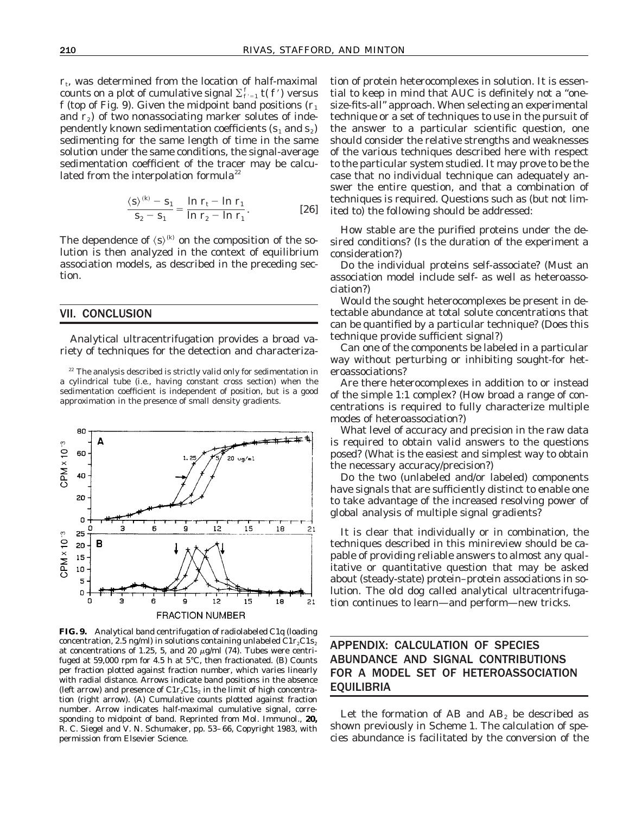$r<sub>t</sub>$ , was determined from the location of half-maximal counts on a plot of cumulative signal  $\sum_{f'=1}^{f} t(f')$  versus  $f$  (top of Fig. 9). Given the midpoint band positions  $(r_1)$ and  $r<sub>2</sub>$ ) of two nonassociating marker solutes of independently known sedimentation coefficients  $(s_1 \text{ and } s_2)$ sedimenting for the same length of time in the same solution under the same conditions, the signal-average sedimentation coefficient of the tracer may be calculated from the interpolation formula<sup>22</sup>

$$
\frac{\langle s \rangle^{(k)} - s_1}{s_2 - s_1} = \frac{\ln r_1 - \ln r_1}{\ln r_2 - \ln r_1}.
$$
 [26]

The dependence of  $\langle s \rangle^{(k)}$  on the composition of the solution is then analyzed in the context of equilibrium association models, as described in the preceding section.

#### VII. CONCLUSION

Analytical ultracentrifugation provides a broad variety of techniques for the detection and characteriza-

 $22$ <sup>22</sup> The analysis described is strictly valid only for sedimentation in a cylindrical tube (i.e., having constant cross section) when the sedimentation coefficient is independent of position, but is a good approximation in the presence of small density gradients.



**FIG. 9.** Analytical band centrifugation of radiolabeled C1q (loading concentration, 2.5 ng/ml) in solutions containing unlabeled  $\text{C1r}_2\text{C1s}_2$ at concentrations of 1.25, 5, and 20  $\mu$ g/ml (74). Tubes were centrifuged at 59,000 rpm for 4.5 h at 5°C, then fractionated. (B) Counts per fraction plotted against fraction number, which varies linearly with radial distance. Arrows indicate band positions in the absence (left arrow) and presence of  $\text{C1r}_2\text{C1s}_2$  in the limit of high concentration (right arrow). (A) Cumulative counts plotted against fraction number. Arrow indicates half-maximal cumulative signal, corresponding to midpoint of band. Reprinted from *Mol. Immunol.,* **20,** R. C. Siegel and V. N. Schumaker, pp. 53–66, Copyright 1983, with permission from Elsevier Science.

tion of protein heterocomplexes in solution. It is essential to keep in mind that AUC is definitely not a "onesize-fits-all" approach. When selecting an experimental technique or a set of techniques to use in the pursuit of the answer to a particular scientific question, one should consider the relative strengths and weaknesses of the various techniques described here with respect to the particular system studied. It may prove to be the case that no individual technique can adequately answer the entire question, and that a combination of techniques is required. Questions such as (but not limited to) the following should be addressed:

How stable are the purified proteins under the desired conditions? (Is the duration of the experiment a consideration?)

Do the individual proteins self-associate? (Must an association model include self- as well as heteroassociation?)

Would the sought heterocomplexes be present in detectable abundance at total solute concentrations that can be quantified by a particular technique? (Does this technique provide sufficient signal?)

Can one of the components be labeled in a particular way without perturbing or inhibiting sought-for heteroassociations?

Are there heterocomplexes in addition to or instead of the simple 1:1 complex? (How broad a range of concentrations is required to fully characterize multiple modes of heteroassociation?)

What level of accuracy and precision in the raw data is required to obtain valid answers to the questions posed? (What is the easiest and simplest way to obtain the necessary accuracy/precision?)

Do the two (unlabeled and/or labeled) components have signals that are sufficiently distinct to enable one to take advantage of the increased resolving power of global analysis of multiple signal gradients?

It is clear that individually or in combination, the techniques described in this minireview should be capable of providing reliable answers to almost any qualitative or quantitative question that may be asked about (steady-state) protein–protein associations in solution. The old dog called analytical ultracentrifugation continues to learn—and perform—new tricks.

# APPENDIX: CALCULATION OF SPECIES ABUNDANCE AND SIGNAL CONTRIBUTIONS FOR A MODEL SET OF HETEROASSOCIATION **EQUILIBRIA**

Let the formation of AB and  $AB<sub>2</sub>$  be described as shown previously in Scheme 1. The calculation of species abundance is facilitated by the conversion of the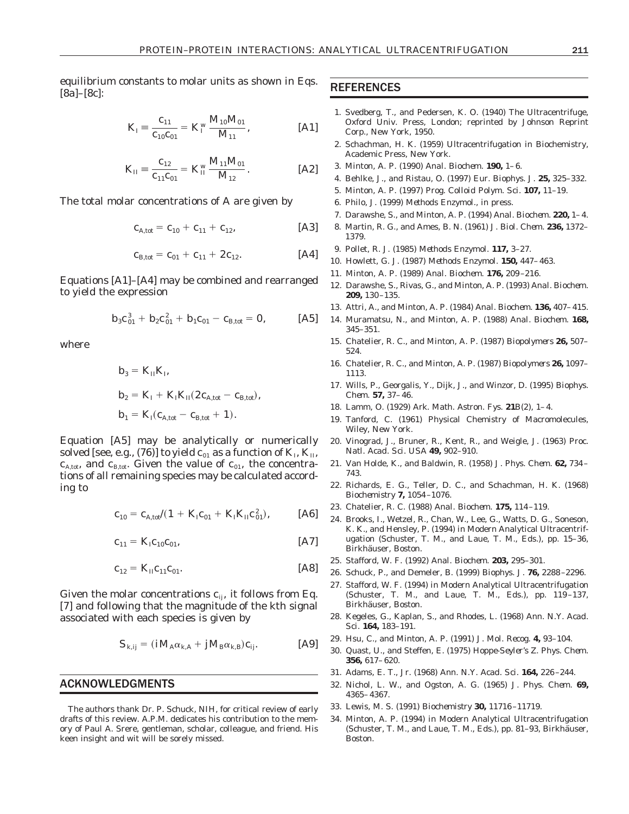equilibrium constants to molar units as shown in Eqs. [8a]–[8c]:

$$
K_{\rm I} = \frac{c_{11}}{c_{10}c_{01}} = K_{\rm I}^{\rm w} \frac{M_{10}M_{01}}{M_{11}}, \tag{A1}
$$

$$
K_{\rm II} = \frac{c_{12}}{c_{11}c_{01}} = K_{\rm II}^{\rm w} \frac{M_{11}M_{01}}{M_{12}}.
$$
 [A2]

The total molar concentrations of A are given by

$$
c_{A, tot} = c_{10} + c_{11} + c_{12}, \qquad [A3]
$$

$$
c_{B, tot} = c_{01} + c_{11} + 2c_{12}. \qquad [A4]
$$

Equations [A1]–[A4] may be combined and rearranged to yield the expression

$$
b_3c_{01}^3 + b_2c_{01}^2 + b_1c_{01} - c_{B,\text{tot}} = 0, \qquad [A5]
$$

where

$$
b_3 = K_{II}K_{I},
$$
  
\n
$$
b_2 = K_{I} + K_{I}K_{II}(2 c_{A, tot} - c_{B, tot}),
$$
  
\n
$$
b_1 = K_{I}(c_{A, tot} - c_{B, tot} + 1).
$$

Equation [A5] may be analytically or numerically solved [see, e.g., (76)] to yield  $c_{01}$  as a function of  $K_{\text{I}}$ ,  $K_{\text{II}}$ ,  $c_{A,\text{tot}}$ , and  $c_{B,\text{tot}}$ . Given the value of  $c_{01}$ , the concentrations of all remaining species may be calculated according to

$$
c_{10} = c_{A,\text{tot}}/(1 + K_{\text{I}}c_{01} + K_{\text{I}}K_{\text{II}}c_{01}^2),
$$
 [A6]

$$
c_{11} = K_1 c_{10} c_{01}, \tag{A7}
$$

$$
c_{12} = K_{\text{II}} c_{11} c_{01}. \tag{A8}
$$

Given the molar concentrations  $c_{ij}$ , it follows from Eq. [7] and following that the magnitude of the *k*th signal associated with each species is given by

$$
S_{k,ij} = (iM_{A}\alpha_{k,A} + jM_{B}\alpha_{k,B})c_{ij}.
$$
 [A9]

## ACKNOWLEDGMENTS

The authors thank Dr. P. Schuck, NIH, for critical review of early drafts of this review. A.P.M. dedicates his contribution to the memory of Paul A. Srere, gentleman, scholar, colleague, and friend. His keen insight and wit will be sorely missed.

#### **REFERENCES**

- 1. Svedberg, T., and Pedersen, K. O. (1940) The Ultracentrifuge, Oxford Univ. Press, London; reprinted by Johnson Reprint Corp., New York, 1950.
- 2. Schachman, H. K. (1959) Ultracentrifugation in Biochemistry, Academic Press, New York.
- 3. Minton, A. P. (1990) *Anal. Biochem.* **190,** 1–6.
- 4. Behlke, J., and Ristau, O. (1997) *Eur. Biophys. J.* **25,** 325–332.
- 5. Minton, A. P. (1997) *Prog. Colloid Polym. Sci.* **107,** 11–19.
- 6. Philo, J. (1999) *Methods Enzymol.,* in press.
- 7. Darawshe, S., and Minton, A. P. (1994) *Anal. Biochem.* **220,** 1–4.
- 8. Martin, R. G., and Ames, B. N. (1961) *J. Biol. Chem.* **236,** 1372– 1379.
- 9. Pollet, R. J. (1985) *Methods Enzymol.* **117,** 3–27.
- 10. Howlett, G. J. (1987) *Methods Enzymol.* **150,** 447–463.
- 11. Minton, A. P. (1989) *Anal. Biochem.* **176,** 209–216.
- 12. Darawshe, S., Rivas, G., and Minton, A. P. (1993) *Anal. Biochem.* **209,** 130–135.
- 13. Attri, A., and Minton, A. P. (1984) *Anal. Biochem.* **136,** 407–415.
- 14. Muramatsu, N., and Minton, A. P. (1988) *Anal. Biochem.* **168,** 345–351.
- 15. Chatelier, R. C., and Minton, A. P. (1987) *Biopolymers* **26,** 507– 524.
- 16. Chatelier, R. C., and Minton, A. P. (1987) *Biopolymers* **26,** 1097– 1113.
- 17. Wills, P., Georgalis, Y., Dijk, J., and Winzor, D. (1995) *Biophys. Chem.* **57,** 37–46.
- 18. Lamm, O. (1929) *Ark. Math. Astron. Fys.* **21**B(2), 1–4.
- 19. Tanford, C. (1961) Physical Chemistry of Macromolecules, Wiley, New York.
- 20. Vinograd, J., Bruner, R., Kent, R., and Weigle, J. (1963) *Proc. Natl. Acad. Sci. USA* **49,** 902–910.
- 21. Van Holde, K., and Baldwin, R. (1958) *J. Phys. Chem.* **62,** 734– 743.
- 22. Richards, E. G., Teller, D. C., and Schachman, H. K. (1968) *Biochemistry* **7,** 1054–1076.
- 23. Chatelier, R. C. (1988) *Anal. Biochem.* **175,** 114–119.
- 24. Brooks, I., Wetzel, R., Chan, W., Lee, G., Watts, D. G., Soneson, K. K., and Hensley, P. (1994) *in* Modern Analytical Ultracentrifugation (Schuster, T. M., and Laue, T. M., Eds.), pp. 15–36, Birkhäuser, Boston.
- 25. Stafford, W. F. (1992) *Anal. Biochem.* **203,** 295–301.
- 26. Schuck, P., and Demeler, B. (1999) *Biophys. J.* **76,** 2288–2296.
- 27. Stafford, W. F. (1994) *in* Modern Analytical Ultracentrifugation (Schuster, T. M., and Laue, T. M., Eds.), pp. 119–137, Birkhäuser, Boston.
- 28. Kegeles, G., Kaplan, S., and Rhodes, L. (1968) *Ann. N.Y. Acad. Sci.* **164,** 183–191.
- 29. Hsu, C., and Minton, A. P. (1991) *J. Mol. Recog.* **4,** 93–104.
- 30. Quast, U., and Steffen, E. (1975) *Hoppe-Seyler's Z. Phys. Chem.* **356,** 617–620.
- 31. Adams, E. T., Jr. (1968) *Ann. N.Y. Acad. Sci.* **164,** 226–244.
- 32. Nichol, L. W., and Ogston, A. G. (1965) *J. Phys. Chem.* **69,** 4365–4367.
- 33. Lewis, M. S. (1991) *Biochemistry* **30,** 11716–11719.
- 34. Minton, A. P. (1994) *in* Modern Analytical Ultracentrifugation (Schuster, T. M., and Laue, T. M., Eds.), pp. 81–93, Birkhäuser, Boston.